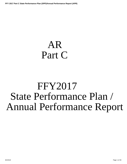# <span id="page-0-0"></span>AR Part C

# FFY2017 State Performance Plan / Annual Performance Report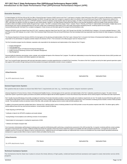#### **Executive Summary:**

In Federal Register 34 CFR Parts 300 and 303, the Office of Special Education Programs (OSEP) instructs each Part C Lead Agency to develop a State Performance Plan (SPP) to examine its effectiveness in implementing the requirements of the Individuals with Disabilities Education Act (IDEA). Annually, each state Part C program is required to report on its efforts in the Annual Performance Report (APR). Requirements outlined in the register indicates that the state must report on 11 SPP\APR indicators, the first ten indicators include baseline data and rigorous targets. The Office of Special Education Programs sets compliance indicators targets at 100%, while states are allowed to set their own targets for each results indicator. Indicator 11, the State Systemic Improvement Plan (SSIP) is a five-year plan developed to improve the quality of early intervention services provided to infants and toddlers and their families through the Part C system. The SSIP is comprised of three phases: Phase I- Analysis, Phase II- Planning, and Phase III- Implementation and Evaluation. Multiple data sourc and procedures were used for reporting performance for this APR: audits of the Comprehensive Data System (CDS), desk audits using program developed protocols, monitoring reports from the Quality Assurance/Monitoring staff, information from compliant investigations, Family Surveys and information gained from program technical assistance visits.

Arkansas SPP/APR covers the Federal Fiscal Year (FFY) 2017, reporting on data from State Fiscal Year 2017 (July 1,2017 through June 30,2018). The SPP/APR Part C Indicators 1-10 must be submitted February 1, 2019 and Phase III of the SSIP (Indicator 11) on April 2, 2019. First Connections State Performance Plan and Annual Performance Plan were developed with broad stakeholder input that includes the State Interagency Coordinating Council.

The Arkansas Department of Human Services (ADHS) is the lead agency for the planning and implementation of the Part C grant. Arkansas Part C is housed in the Division of Developmental Disability Services, and is responsible for the administration of regulatory activities related to the direction of Part C. First Connection is the official program name for Arkansas Part C.

The First Connections program has five individual, cooperative units responsible for the development and implementation of the Arkansas Part C Program.

- Program Management
- Fiscal Management
- Comprehensive System of Professional Development Management
- Quality Assurance/ Monitoring Licensure and Certification Management.
- Data Management

Personnel within the distinctive units develop, review, evaluate, and coordinate all aspects of the Arkansas Part C program. The staff work collaboratively to ensure that Arkansas Early Intervention Service (AEIS) provider agency staff perform in accordance with federal regulations and state policy.

Part C has Voucher/Provider Agreements with local early intervention programs to provide supports/services on behalf of First Connections. The actions of the Part C program are led by the state's general supervision system that supports AEIS providers through training and technical assistance by program administrative oversite to ensure compliance.

| Attachments               |                  |                    |                      |
|---------------------------|------------------|--------------------|----------------------|
|                           | <b>File Name</b> | <b>Uploaded By</b> | <b>Uploaded Date</b> |
| No APR attachments found. |                  |                    |                      |
|                           |                  |                    |                      |

#### **General Supervision System:**

The systems that are in place to ensure that IDEA Part C requirements are met, e.g., monitoring systems, dispute resolution systems.

Arkansas Department of Human Services, Division of Developmental Disability Services, is the lead agency for the supervision and implementation of the Part C statewide comprehensive program. The state's General Supervision System is governed by agency procedures and policies and that are aligned with the federal regulations to ensure that Arkansas Early Intervention Service (AEIS) programs meet federal and state requirements.

Part C Quality Assurance/Monitoring Unit provides oversight and monitoring of local early intervention providers to ensure that quality and compliance requirements are met. The Quality Assurance/Monitoring staff used the Comprehensive Data System (CDS) to review individual child records to ensure compliance with federal timelines and other program requirements. First Connections monitoring process includes a review of AEIS providers records. This examination involves an extensive review of their files, while, providers with ongoing concerns receive onsite technical assistance visits.

In addition to the general supervision activities listed above. Arkansas Part C staff also perform various monitoring activities for each AEIS provider to ensure the practices required under IDEA. This allows agency staff identify additional areas that may need technical assistance. Annual activities include the following:

\* Public Reporting of SPP/APR data

- \* Verification of data for the SPP\APR compliance and results indicator
- \* Issuing findings of noncompliance and confirming correction of noncompliance
- \* Determination for local programs in meeting the requirements of IDEA

\* Collection and Analysis of program data

First Connections Administrative staff developed monitoring tools to guide the QA/Monitoring staff in performing a comprehensive assessment of the AEIS provider files. As required, monitoring staff also conduct activities that assist in improving the Part C program. Additional activities that include the evaluation of fiscal documents to determine program accountability with state and federal requirements. Local agencies are provided all available resources to increase their capacity to improve overall performance. Additional intensive and targeted activities are implemented when concerns are identified and may include required specialized professional development to support provider efforts to improve results for infants and toddlers that they serve.

| <b>Attachments</b>        |                  |             |                      |
|---------------------------|------------------|-------------|----------------------|
|                           | <b>File Name</b> | Uploaded By | <b>Uploaded Date</b> |
| No APR attachments found. |                  |             |                      |
|                           |                  |             |                      |

#### **Technical Assistance System:**

The mechanisms that the State has in place to ensure the timely delivery of high quality, evidenced based technical assistance and support to early intervention service (EIS) programs.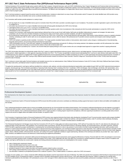Technical Assistance (TA) is provided through various systems within the Part C program. During the fiscal year, each unit (CSPD, QA/Monitoring, Data, Program Management and Fiscal) provides technical assistance related to their specific content area as needed. Provider support is a unified effort that guides staff and providers in building their capacity to serve Arkansas families. The Professional Development System section of t includes an outline of the units' collaborative efforts to provide technical assistance. The different units meet together on a regular basis, discuss issues, examine program data to identify strengths and needs and to dev goals to improve program quality.

Part C's technical assistance is geared toward the precise needs of the local providers. Assistance is determined in an array of ways: AEIS providers submit TA request, QA monitor identified need, AEIS provider survey; fiscal unit identified need; data unit identified need; service coordinator identified areas of concern.

First Connections staff members provide assistance in a variety of ways:

- . QA may require TA on a topic of identified need as part of a Corrective Action Plan (CAP) when a provider or provider program is out of compliance. The provider or provider organization is given a time limit by which to complete the TA.
- QA monitor may recommend TA on a topic of identified need and provide self-study guides developed by the CSPD Unit on that topic.
- Lead Agency issues written policy briefs or clarifications on identified issues.
- QA monitor may recommend TA on a topic of identified need (based on provider questions and/or minor inconsistencies in files reviewed) and refer the provider administration to contact the CSPD Unit for individualized on-site or Web-based TA.
- Quarterly First Connections' staff meeting where topical training is delivered face to face as part of each staff meeting. Staff needs are identified collaboratively by program unit managers: the state service coordinators, QA Unit, Fiscal Unit, and Data Unit based on recurring errors noted, record review, parent or provider complaints, and staff TA requests/questions.
- · By EI professional's request (phone call or e-mail to the Data Unit, QA Unit, CSPD Unit, or Fiscal Unit). TA may include electronic self-study guides, Web training, routing individual or group to a regularly scheduled workshop, scheduling an onsite TA visit for staff, one-on-one assistance (provider comes to office for tutorial or AEI professional and TA provider connects via phone and computer screen-sharing for guided assistance).
- . CSPD Unit maintains a quarterly provider newsletter, Connections. The 4-page quarterly newsletter features articles on best practices, latest research, policy changes or clarifying points of misunderstanding, frequently asked questions, and upcoming professional development opportunities.
- CSPD Unit develops a one-hour "Lunch and Learn" webinars on a frequently asked question/topic and posts the TA offering on the training calendar in the database accessible to all AEI professionals, then notifies each of the unit personnel so that they can recommend the webinar to those with an interest and/or need.
- FC Staff/Peer support is provided by four "Coaches" who received initial (and ongoing training) to serve as peer mentors who use a strengths-based approach to support their coworker's ongoing professional development.

The CSPD Unit provides information for professionals outside of the Part C system to support parents/parent advocacy groups, referral sources, and related agencies. Technical Assistance of this nature is provided to support partners, related organizations, or other agencies requesting information from Part C. The TA varies, but generally is centered around understanding Part C and how to make referrals, family rights under IDEA, Part C timelines/process from referral to completed IFSP, Program guidelines/requirements around supporting families of toddlers transitioning out of Part C to other appropriate early learning programs/services. Examples of sessions include: "Family Rights under IDEA" training to early childhood special education students at Henderson State University's Teachers College and "Screening and When to Refer" to Early Head Start programs around the state of Arkansas.

Part C continues to receive high quality Technical Assistance and valuable resources from our national partners: Early Childhood Technical Assistance Center (ECTA Center), IDEA Early Childhood Data System (DaSy), IDEA Data Center (IDC), and National Center for Systemic Improvement (NCSI).

Throughout the reporting period, Lead Agency staff have benefited from conference calls, webinars, and other professional development opportunities made available through OSEP and OSEP national technical assistance programs. Several years ago, First Connections assembled an "Improving Family Outcomes Team" consisting of the Part C Coordinator, CSPD Unit Manager, Data Unit Manager, QA Monitor, IHE representative, and a parent. Members of this team participates in the Cross-State Family Outcomes Learning Collaborative (annual face to face workdays, team calls, and webinars geared to improving family and child outcomes). Also, as an added benefit for the First Connections staff, they attend national conferences and other Part C-related meetings to ensure ongoing professional development for First Connections staff.

| <b>Attachments</b> |                  |             |               |
|--------------------|------------------|-------------|---------------|
|                    | <b>File Name</b> | Uploaded By | Uploaded Date |

No APR attachments found.

#### **Professional Development System:**

The mechanisms the State has in place to ensure that service providers are effectively providing services that improve results for infants and toddlers with disabilities and their families.

Arkansas' Comprehensive System of Personnel Development (CSPD) ensures that AEIS providers and service coordinators are effectively providing supports that improve results for infants and toddlers with disabilities and their families.

Part C professional development activities strive to ensure accountability and promote the use of recommended and evidence-based practices. First Connections' professional development unit main objective is to provide EI professionals (AEIS providers, service coordinators, and EI program administration) with the tools, confidence, and competence to equip them to support families in helping their child develop and learn (our SSIP SiMR). In order to meet this objective, Part C professional development activities seek to support providers in meeting program requirements (compliance), while also supporting EI practitioners in providing quality family-centered supports and services to eligible infants and toddlers and their families, as required in IDEA.

First Connections Comprehensive System of Personnel Development (CSPD) involves many organized elements that include: policy development, developing PD and TA around provider requests and/or program identified needs, coordinating staff development/in-service, providing PD and TA in a variety of formats (self-study guides, lunchtime live webinars, web-based training modules, onsite TA, and face to face workshops), developing training to prepare EI practitioners to serve as peer mentors/coaches, and developing tools (for example, a Transition Checklist) based on identified need.

The Professional Development Unit Manager ensures that First Connections (FC) PD and TA is high-quality and evidence-based training. CSPD staff and TA providers from other FC units reference the philosophy and guiding principles of Early Intervention, IDEA guidelines, First Connections policy & procedures, and DEC Recommended Practices in all training materials, QA sessions/discussions, and written responses. Arkansas' CSPD Unit staff is supported by program administration in maintaining their own professional development in order to stay abreast of current trends in the field of early learning/early intervention; staff is provided curre literature on routines-based intervention, principles and practices of natural environment, family engagement, and coaching/consultative approaches in early intervention. Part C staff has received training in principles of learning as well as principles of peer to peer coaching. Professional development and TA workshops and webinars are comprised of a combination of lecture (with visual representations in the form of screen shots, diagrams, graphs, videos), reflective activities, self-assessments, discussion, and "putting it into practice" (application activities) to support adult leaming. Attendees of the workshops and webinars are provided "take- away" copi slides, handouts, and additional resources and references to extend learning and supplement presentations.

Formal and informal assessment are conducted to define personnel development needs and pre and post assessments used to gauge the effectiveness of training. Personnel within the CSPD unit participate in record review and review EI providers questions and/or complaints to determine program PD/TA needs. CSPD collaborates with other units within First Connections to maintain awareness of program needs in areas of compliance and quality. Lead Agency staff develop new courses and/or materials and existing professional development courses are revised/updated on the occasion, including:

- a. state or federal policy requirement changes
- b. report of identified topical need from one or more units
- c. needed improvement based on OSEP DMR and/or Determination
- d. provider(s) requests for more in-depth information and frequent questions related to policy or procedure
- e. SSIP strategy implementation/focus areas require a change or more in-depth coverage of a procedure, topic, etc.
- f. new information is obtained on principles/best practices from a national TA partner, a Part C-related webinar or conference, and/or from CSPD Unit research

Examples of course updates, as in "c" above, include the DMR notification that indicated a need for improvement in the area of Child Find. The CSPD Unit used the First Connections Child Find Plan for improvement and used the SSIP strategies around "remarketing the program" to develop a brief EI Orientation training geared to primary referral sources. CSPD staff collaborated with Arkansas' Children's Hospital (ACH) to identify which individuals would benefit from this information. ACH administered a survey in 2017 and again in 2018 to determine areas of strength and need around the pediatric professional's knowledge of when/how to refer to Part C. 8/2/2019 Page 3 of 39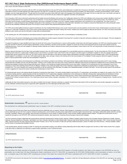# FFY 2017 Part C State Performance Plan (SPP)/Annual Performance Report (APR)<br>CSPD is currently working with ACH administration to schedule dates/times/locations to provide a follow up "El Orientation" through a state-wide

NICU nurses, and other clinicians in early 2019.

Also, when re-training all First Connections staff, the CSPD unit noticed discrepancies in the way IFSP teams used existing tools to complete the COS process with families. The issues noted in training simulations and in observations of teams in the field supported and verified reports from the Data Unit. A provider focus group was formed and observed doing a simulated COS rating and then consulted to provide feedback on their methods, strategies, and use of state-approved tools. Through input from the provider focus group, further edits were made to the language of the existing tools and the paper COS form to make them more "user friendly" and easier for practitioners to explain to family members. A guidance document on how to use the tools was also created at the suggestion of providers who participated.

First Connections CSPD work is informed by partnership with the Quality Assurance/Certification and Licensure Unit. Collaboration between the CSPD and Certification and Licensure team members identified a need for all personnel working within the Part C program to have "core competencies." A cross-unit group within First Connections identified the core competencies and developed an online training module. This module was used to orient direct service providers, provider program administration, and service coordinators to changes in the Part C program, program requirements, and to introduce the core competencies. This online course is a pre-requisite for a newly developed two-day certification training (face to face workshop) on the core competencies. Early Intervention Specialists must complete an assessment following both the online prerequisite module and the two-day certification workshop with at least 70% accuracy to receive credit for these professional development activities.

The CSPD Unit provided additional training to support EI practitioners who had completed initial training to serve as peer mentors/coaches and also prepared a second cohort of peer mentors/coaches to provide peer to peer support for FC state staff. Practitioners in each cohort receive monthly training and complete and submit "Putting it into Practice" activities each month to apply key skills that have learned. The CSPD Unit reviews and pr feedback to peer coaches and uses the information to shape follow up training activities.

In this reporting year, the CSPD developed an informational handout for parents interested in serving on the AICC or local Interagency Coordinating Councils.

The CSPD unit is in the process of developing a pre-recorded online Webinar for provider programs interested in becoming Part C providers to help them self-assess readiness to serve the program. This tool is designed to orient and to prepare programs prior to their application to become Part C providers.

To support EI practitioners in topics identified by the Data Unit and the QA Unit as areas of low performance or areas in which providers contact these units with frequent questions, the CSPD Unit conducted quarterly "Lunc and Learn" live Web TA geared to provider program administration, service coordinators, and direct service providers. Targeted TA courses do not have a post-assessment and are not part of the required courses fo certification/licensure. Lunch and Learn targeted TA offerings included: Referrals and Timelines, Delivered Services Notes (Documentation), Parent Goals on the IFSP, and Using Results of Family Assessment to Develop a Family-centered IFSP.

Based on data and information from the Data, Fiscal, and Quality Assurance Units, the CSPD provides onsite targeted TA to meet identified needs from monitoring reports. The QA Unit provides the CSPD Unit with copies of monitoring reports whenever a quality and/or compliance issue is documented on a provider's report; when Fiscal or Data Unit requires a provider program to participate in targeted TA, that unit's manager will send the identified topics and the request to the CSPD unit. The CSPD Unit then uses this information to work with the provider program administration to develop an agenda around the identified needs. CSPD Unit staff will either provide targeted TA via Webinar or on-site visit. CSPD staff provide the slides, notes, and sign in sheets to the referring unit for their documentation of TA completed. Provider programs referred for targeted TA have the option to request quarterly follow up after they have participated in required TA.

To serve the entire state network of EI professionals more effectively, much training is provided via live Webinars, Web-based training modules, guided individual tutorials (connected by phone and PC screen sharing), phone/chat/email consultation and Q/A, and self-study guides. Training on more complex topics and many of the courses required for certification and/or licensure are delivered in traditional face to face workshops that emp adult learning strategies including small and large group discussion, reflection, and small group simulated training activities around case studies. Feedback from EI professionals who have participated in face to face workshops is used to inform planning of future PD and TA offerings. Feedback on the content and quality of face to face workshops is obtained from participants by requiring them to complete an anonymous paper course evaluation form. The course evaluation form requires the practitioner to rate the usefulness of the information, the quality of the materials/presentation, and skills of the trainer. The form also provides space for the pr to write in suggestions for improvement and/or to identify other needed topics for future PD/TA.

EI Professionals gain access to the training calendar through the Comprehensive Data System. The system provides details of upcoming PD or TA opportunities, and specialists can register for the support in the CDS. First Connections training calendar is updated quarterly and lists all scheduled PD and TA opportunities. Regularly scheduled face to face workshops for certification training and/or ongoing professional development include: Transition, Best Practices in Case Management/Service Coordination, Best Practices for Intake, OSEP Child and Family Outcomes, Child & Family Assessment and Using Results of Family Assessment to Develop a Functional IFSP, Writing Functional Outcomes, Prior Authorization (fiscal), Report Writing, Evaluation Interpretation, IFSP Team Teamwork in Completing the COSF, IFSP Development & Ongoing Review, Transition and Exit Requirements.

Additionally, the Data Unit provides bi-annual (or more often as needed) "train the trainer" interactive workshops on using the Comprehensive Data System (CDS) so that staff from each provider organization can attend the two-day certification workshop and go back to support their staff in appropriate use of the State-approved data system (CDS).

| ∣ Attachments             |                  |                    |                      |
|---------------------------|------------------|--------------------|----------------------|
|                           | <b>File Name</b> | <b>Uploaded By</b> | <b>Uploaded Date</b> |
| No APR attachments found. |                  |                    |                      |

# **Stakeholder Involvement:**  $\overline{\mathbf{v}}$  apply this to all Part C results indicators

The mechanism for soliciting broad stakeholder input on targets in the SPP, including revisions to targets.

The Arkansas Annual Performance Report was developed with extensive stakeholder input, as required. Arkansas' State Interagency Coordinating Council (AICC) continues to provide on-going guidance and support as the primary stakeholder group for the Part C program. During the reporting period, council members are giving various opportunities to provide program improvement input. Lead Agency staff provide updates with AICC members via emails, newsletters, webinars and meetings. Data summaries are presented to council member on regular intervals, to keep members updated regarding indicator progress. Throughout the review period, the AICC assisted the lead agency on the SPP/APR, SIPP, professional development activities, data requirements, monitoring, fiscal and program improvements strategies.

The First Connections program collaborated with several partners during this reporting period. Partners include: Arkansas' Children's Hospital, Quality Assurance Sub Committee Arkansas Department of Health, Arkansas Medicaid, Arkansas Department of Education, Safe Babies Court Team, Arkansas Association for Infant Mental Health, Arkansas Fetal Alcohol Spectrum Disorder, Head Start Association, Title V, Human Services Personnel Office, Arkansas School for the Deaf, Arkansas Early Intervention Providers, Zero to Three, the Division of Child Care and Early Childhood Education, Division of Children and Family Services , Arkansas Disability Coalition and the Division of Developmental Disabilities Services.

In this reporting period, Arkansas received an OSEP TA Visit that was instrumental in forging a more effective working relationship with the State's MIECHV program who met with our OSEP visitors and the Part C program to talk about ways to collaborate more effectively to support families, particularly in rural or underserved areas.

| ∣ Attachments             |                  |                    |                      |
|---------------------------|------------------|--------------------|----------------------|
| No APR attachments found. | <b>File Name</b> | <b>Uploaded By</b> | <b>Uploaded Date</b> |
|                           |                  |                    |                      |

#### **Reporting to the Public:**

How and where the State reported to the public on the FFY 2016 performance of each EIS Program or Provider located in the State on the targets in the SPP/APR as soon as practicable, but no later than 120 days following the State's submission of its FFY 2016 APR, as required by 34 CFR §303.702(b)(1)(i)(A); and a description of where, on its Web site, a complete copy of the State's SPP, including any revision if the State has revised the SPP that it submitted with its FFY 2016 APR in 2018, is available.

The SPP/APR can be found on the Arkansas First Connections website at www.arkansas.gov/dhs/ddds/FirstConn . As required, no later than 120 days following the submission of the 2016 APR, the Lead Agency has reported 8/2/2019 Page 4 of 39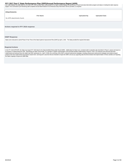# <span id="page-4-0"></span>FFY 2017 Part C State Performance Plan (SPP)/Annual Performance Report (APR)<br>and made available the public data from the 2016 APR. AEIS provider report cards posted on the state's website displays the performance of each l

targets. First Connections QA/ Monitoring staff completed annual determinations for all Arkansas Early Intervention Service providers, as required.

| <b>Attachments</b>                    |                    |                      |  |  |  |  |
|---------------------------------------|--------------------|----------------------|--|--|--|--|
| <b>File Name</b>                      | <b>Uploaded By</b> | <b>Uploaded Date</b> |  |  |  |  |
| No APR attachments found.             |                    |                      |  |  |  |  |
|                                       |                    |                      |  |  |  |  |
|                                       |                    |                      |  |  |  |  |
| Actions required in FFY 2016 response |                    |                      |  |  |  |  |
|                                       |                    |                      |  |  |  |  |

#### **OSEP Response**

States were instructed to submit Phase III Year Three of the State Systemic Improvement Plan (SSIP) by April 1, 2019. The State provided the required information.

#### **Required Actions**

In the FFY 2018 SPP/APR, the State must report FFY 2018 data for the State-identified Measurable Result (SiMR). Additionally, the State must, consistent with its evaluation plan described in Phase II, assess and report on its progress in implementing the SSIP. Specifically, the State must provide: (1) a narrative or graphic representation of the principal activities implemented in Phase III, Year 4; (2) measures and outcomes that were<br>imple practices that were implemented and progress toward short- and long-term outcomes that are intended to impact the SiMR; and (4) any supporting data that demonstrates that implementation of these activities are impacting the State's capacity to improve its SiMR data.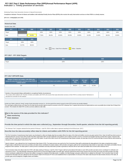# **Indicator 1: Timely provision of services FFY 2017 Part C State Performance Plan (SPP)/Annual Performance Report (APR)**

Monitoring Priority: Early Intervention Services In Natural Environments

**Compliance indicator: Percent of infants and toddlers with Individual Family Service Plans (IFSPs) who receive the early intervention services on their IFSPs in a timely manner.**

#### **(20 U.S.C. 1416(a)(3)(A) and 1442)**

| <b>Historical Data</b><br>Baseline Data: 2005              |        |        |        |        |        |        |        |        |        |        |        |
|------------------------------------------------------------|--------|--------|--------|--------|--------|--------|--------|--------|--------|--------|--------|
| <b>FFY</b>                                                 | 2004   | 2005   | 2006   | 2007   | 2008   | 2009   | 2010   | 2011   | 2012   | 2013   | 2014   |
| Target                                                     |        |        | 100%   | 100%   | 100%   | 100%   | 100%   | 100%   | 100%   | 100%   | 100%   |
| Data                                                       |        | 94.90% | 77.00% | 88.40% | 82.00% | 95.00% | 90.00% | 91.00% | 91.00% | 88.52% | 93.00% |
| <b>FFY</b>                                                 | 2015   | 2016   |        |        |        |        |        |        |        |        |        |
| Target                                                     | 100%   | 100%   |        |        |        |        |        |        |        |        |        |
| Data                                                       | 92.70% | 88.62% |        |        |        |        |        |        |        |        |        |
| Gray - Data Prior to Baseline<br>Yellow - Baseline<br>Key: |        |        |        |        |        |        |        |        |        |        |        |

## **FFY 2017 - FFY 2018 Targets**

| --v                 | 2017 | 2018 |
|---------------------|------|------|
| <sup>1</sup> Target | 100% | 100% |

## **FFY 2017 SPP/APR Data**

| Number of infants and toddlers with IFSPs who<br>receive the early intervention services on their IFSPs in<br>a timely manner | Total number of infants and toddlers with IFSPs $^{\prime}$ | <b>FFY 2016</b><br>Data | <b>FFY 2017</b><br>Target | <b>FFY 2017</b><br><b>Data</b> |
|-------------------------------------------------------------------------------------------------------------------------------|-------------------------------------------------------------|-------------------------|---------------------------|--------------------------------|
| 387                                                                                                                           | 471                                                         | 88.62%                  | 100%                      | 92.36%                         |

**Number of documented delays attributable to exceptional family circumstances** This number will be added to the "Number of infants and toddlers with IFSPs who receive their early intervention services on their IFSPs in a timely manner" field above to calculate the numerator for this indicator.

48

Include your State's criteria for "timely" receipt of early intervention services (i.e., the time period from parent consent to when IFSP services are actually initiated). The Lead Agency defines timely as 30 days from the date that the provider signed consent for services on the IFSP. Arkansas Part C requires that services be implemented as soon as possible (but not later than 30 days) from consent. This includes the initial IFSP as well as services added at a later date.

**What is the source of the data provided for this indicator?**

# **State monitoring**

 **State database**

**Provide the time period in which the data were collected (e.g., September through December, fourth quarter, selection from the full reporting period).**

The Arkansas' Part C program selected the time period of February 1- April 30, 2018 to collect data to represent reporting for the full fiscal year. (2017)

**Describe how the data accurately reflect data for infants and toddlers with IFSPs for the full reporting period.**

The First Connections Comprehensive Data System was developed to collect and display data that accurately reflects the status of the infant and toddlers record at any given period of time. Data Unit staff have direct acces individual electronic record of each AEIS provider that allows appropriate staff to provide clarification and guidance and to address provider concerns connected to the families that they provide direct support. Arkansas d system allows for a direct flow of information from each user in the system. As part of the child's record, the Comprehensive Data System includes, the start date of the IFSP and the first date of service that the child re indicated on the Individualized Family Service Plan.

Data for Indicator 1 was collected from the Comprehensive Data System (CDS). The inquiry process was used by the First Connections Data staff to authenticate the data gathered in the states comprehensive system. Program data is collected from local service providers and state service coordinators for proper analysis. AEIS providers and agency staff use the Comprehensive Data System to report data on the infants and toddlers that a assigned to their caseload. The data system is used by service coordinators and early intervention provider to generate an electronic file for each infant and toddler that is served under Arkansas Part C.

First Connections Data Unit collects data from IFSP's with dates starting at February 1-April 30, 2018. Program staff sent personalized information to each AEIS provider and state service coordinator for verification and submission to Part C. The Data Manager selected this period of time to ensure the highest quality of provider data. Arkansas selected the period of time closest to the end of the year to give new AEIS providers and state service coordinators additional time to improve their ability to manage the complexity of the data system. In addition, the Data Manager was given sufficient time to validate the information. First Connection Data Unit sta reviewed the information that was collected for this time period to data for the full year (FFY2017) and established that it is representative of a full year of the state's data because the data includes all areas of the s provider types and all categories of eligible infants and toddlers.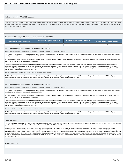#### <span id="page-6-0"></span>**Actions required in FFY 2016 response**

none

Note: Any actions required in last year's response table that are related to correction of findings should be responded to on the "Correction of Previous Findings of Noncompliance" page of this indicator. If your State's only actions required in last year's response are related to findings of noncompliance, a text field will not be displayed on this page.

#### **Correction of Findings of Noncompliance Identified in FFY 2016**

| Findings of Noncompliance Identified | <b>Findings of Noncompliance Verified as</b><br>L Corrected Within One Year <b>\</b> | <b>Findings of Noncompliance Subsequently</b><br>Corrected | <b>Findings Not Yet Verified as Corrected</b> |  |
|--------------------------------------|--------------------------------------------------------------------------------------|------------------------------------------------------------|-----------------------------------------------|--|
|                                      |                                                                                      |                                                            |                                               |  |

#### **FFY 2016 Findings of Noncompliance Verified as Corrected**

Describe how the State verified that the source of noncompliance is correctly implementing the regulatory requirements

The correction of a noncompliance is monitored by Part C monitoring staff. Upon the identification of noncompliance, the staff issue the AEIS provider a written finding of noncompliance citing the regulatory requirement an requiring correction of the noncompliance within 90 days of notification.

In accordance with Arkansas' monitoring guidelines related to timely provision of services, monitoring staff examine a percentage of early intervention provider files to ensure that all infants and toddlers receive service on the IFSP within 30 days of the parental consent for services.

To ensure programs are correctly implementing the regulatory requirements, First Connections staff reviewed a percentage of updated files from each AEIS provider to determine if providers are initiating services of subsequent infants and toddlers in a timely manner. The Lead Agency staff conducted this procedure in accordance with guidance provided in OSEP Memorandum 09-02, dated October 17, 2008 (OSEP Memo 09-02). Arkansas Part C monitoring staff determined that each AEIS provider for whom data formerly showed noncompliance has corrected the noncompliance and is correctively implementing the regulatory requirement for infants and toddlers with IFSPs to receive their services as directed.

Describe how the State verified that each individual case of noncompliance was corrected

Each individual record for whom services were not started within 30 days of parents' consent, is reviewed by the monitoring staff to ensure that children were receiving services as written on their IFSP. Lead Agency record review indicated that children who had not previously received timely services were indeed receiving the services on the IFSP, even though late.

#### **FFY 2015 Findings of Noncompliance Verified as Corrected**

Describe how the State verified that the source of noncompliance is correctly implementing the regulatory requirements

The correction of a noncompliance is monitored by Part C monitoring staff. Upon the identification of noncompliance, the staff issue the AEIS provider a written finding of noncompliance citing the regulatory requirement an requiring correction of the noncompliance within 90 days of notification.

In accordance with Arkansas' monitoring guidelines related to timely provision of services, monitoring staff examine a percentage of early intervention provider files to ensure that all infants and toddlers receive service on the IFSP within 30 days of the parental consent for services.

To ensure programs are correctly implementing the regulatory requirements, First Connections staff reviewed a percentage of updated files from each AEIS provider to determine if providers are initiating services of subsequent infants and toddlers in a timely manner. The Lead Agency staff conducted this procedure in accordance with guidance provided in OSEP Memorandum 09-02, dated October 17, 2008 (OSEP Memo 09-02). Arkansas Part C monitoring staff determined that each AEIS provider for whom data formerly showed noncompliance has corrected the noncompliance and is correctively implementing the regulatory requirement for infants and toddlers with IFSPs to receive their services as directed

Describe how the State verified that each individual case of noncompliance was corrected

Each individual record for whom services were not started within 30 days of parents' consent, is reviewed by the monitoring staff to ensure that children were receiving services as written on their IFSP. Lead Agency record review indicated that children who had not previously received timely services were indeed receiving the services on the IFSP, even though late.

#### **OSEP Response**

The State reported that it used data from a State database to report on this indicator. The State further reported that it did not use data for the full reporting period (July 1, 2017-June 30, 2018). The State described ho period in which the data were collected accurately reflects data for infants and toddlers with IFSPs for the full reporting period.

Because the State reported less than 100% compliance for FFY 2017, the State must report on the status of correction of noncompliance identified in FFY 2017 for this indicator. When reporting on the correction of noncompliance, the State must report, in the FFY 2018 SPP/APR, that it has verified that each EIS program or provider with noncompliance identified in FFY 2017 for this indicator: (1) is correctly implementing the specific regulatory requirements (i.e., achieved 100% compliance) based on a review of updated data such as data subsequently collected through on-site monitoring or a State data system; and (2) has corrected each individual case of noncompliance, unless the child is no longer within the jurisdiction of the EIS program or provider, consistent with OSEP Memo 09-02. In the FFY 2018 SPP/APR, the State must describe the specific actions that were taken to verify the correction. If the State did not identify any findings of noncompliance in FFY 2017, although its FFY 2017 data reflect less than 100% compliance, provide an explanation of why the State did not identify any of noncompliance in FFY 2017.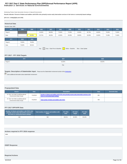# **Indicator 2: Services in Natural Environments FFY 2017 Part C State Performance Plan (SPP)/Annual Performance Report (APR)**

Monitoring Priority: Early Intervention Services In Natural Environments

**Results indicator: Percent of infants and toddlers with IFSPs who primarily receive early intervention services in the home or community-based settings.**

# **(20 U.S.C. 1416(a)(3)(A) and 1442)**

| <b>Historical Data</b><br>Baseline Data: 2005                                                                 |        |        |        |        |        |        |        |        |        |        |        |
|---------------------------------------------------------------------------------------------------------------|--------|--------|--------|--------|--------|--------|--------|--------|--------|--------|--------|
| FFY                                                                                                           | 2004   | 2005   | 2006   | 2007   | 2008   | 2009   | 2010   | 2011   | 2012   | 2013   | 2014   |
| Target $\geq$                                                                                                 |        |        | 64.00% | 68.00% | 70.00% | 72.00% | 45.50% | 45.75% | 46.00% | 70.00% | 73.00% |
| Data                                                                                                          |        | 62.95% | 52.72% | 46.00% | 42.00% | 45.00% | 38.00% | 32.00% | 33.00% | 74.38% | 74.48% |
| <b>FFY</b>                                                                                                    | 2015   | 2016   |        |        |        |        |        |        |        |        |        |
| Target $\geq$                                                                                                 | 76.00% | 79.00% |        |        |        |        |        |        |        |        |        |
| Data                                                                                                          | 76.28% | 83.91% |        |        |        |        |        |        |        |        |        |
| Gray - Data Prior to Baseline<br>$\mathbb{R}^{\mathbb{Z}}$<br>Yellow - Baseline<br>Blue - Data Update<br>Key: |        |        |        |        |        |        |        |        |        |        |        |

# **FFY 2017 - FFY 2018 Targets**

| <b>FFY</b>    | 2017   | 2018   |  |  |  |  |  |
|---------------|--------|--------|--|--|--|--|--|
| Target $\geq$ | 82.00% | 85.00% |  |  |  |  |  |
| Key:          |        |        |  |  |  |  |  |

# **Targets: Description of Stakeholder Input** - Please see the Stakeholder Involvement section of the *introduction*.

Enter additional information about stakeholder involvement

# **Prepopulated Data**

| <b>Source</b>                                                        | <b>Date</b> | <b>Description</b>                                                                                                                     | <b>Data</b> | <b>Overwrite Data</b> |
|----------------------------------------------------------------------|-------------|----------------------------------------------------------------------------------------------------------------------------------------|-------------|-----------------------|
| SY 2017-18 Child Count/Educational<br><b>Environment Data Groups</b> | 7/11/2018   | Number of infants and toddlers with IFSPs who primarily receive early intervention services in the<br>home or community-based settings | 852         |                       |
| SY 2017-18 Child Count/Educational<br><b>Environment Data Groups</b> | 7/11/2018   | Total number of infants and toddlers with IFSPs                                                                                        | 945         |                       |

# **FFY 2017 SPP/APR Data**

| Number of infants and toddlers with IFSPs who $^{\prime}$<br>primarily receive early intervention services in<br>the home or community-based settings | Total number of infants and toddlers with<br><b>IFSPs</b> | <b>FFY 2016</b><br>Data | <b>FFY 2017</b><br><b>Target</b> | <b>FFY 2017</b><br><b>Data</b> |
|-------------------------------------------------------------------------------------------------------------------------------------------------------|-----------------------------------------------------------|-------------------------|----------------------------------|--------------------------------|
| 852                                                                                                                                                   | 945                                                       | 83.91%                  | 82.00%                           | 90.16%                         |

| Actions required in FFY 2016 response |  |  |  |
|---------------------------------------|--|--|--|
| none                                  |  |  |  |
|                                       |  |  |  |
|                                       |  |  |  |
| <b>OSEP Response</b>                  |  |  |  |
|                                       |  |  |  |
|                                       |  |  |  |
|                                       |  |  |  |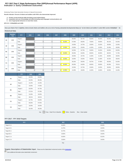# **Indicator 3: Early Childhood Outcomes FFY 2017 Part C State Performance Plan (SPP)/Annual Performance Report (APR)**

Monitoring Priority: Early Intervention Services In Natural Environments

**Results indicator: Percent of infants and toddlers with IFSPs who demonstrate improved:**

- 
- A. Positive social-emotional skills (including social relationships);<br>B. Acquisition and use of knowledge and skills (including early language/ communication); and<br>C. Use of appropriate behaviors to meet their needs.
- 

**(20 U.S.C. 1416(a)(3)(A) and 1442)**

**Does your State's Part C eligibility criteria include infants and toddlers who are at risk of having substantial developmental delays (or "at-risk infants and toddlers") under IDEA section 632(5)(B)(i)? No**

# **Historical Data**

|                | <b>Baseline</b><br>Year | <b>FFY</b>    | 2004 | 2005 | 2006 | 2007 | 2008   | 2009   | 2010   | 2011   | 2012   | 2013   | 2014   |
|----------------|-------------------------|---------------|------|------|------|------|--------|--------|--------|--------|--------|--------|--------|
| A <sub>1</sub> | 2008                    | Target $\geq$ |      |      |      |      |        | 56.50% | 56.75% | 56.00% | 56.25% | 60.00% | 61.00% |
|                |                         | Data          |      |      |      |      | 56.00% | 67.00% | 66.00% | 70.00% | 59.00% | 68.13% | 81.93% |
| A2             | 2008                    | Target $\geq$ |      |      |      |      |        | 24.50% | 24.75% | 25.00% | 25.25% | 30.00% | 31.00% |
|                |                         | Data          |      |      |      |      | 24.00% | 23.00% | 25.00% | 41.00% | 22.00% | 32.49% | 46.99% |
|                |                         | Target $\geq$ |      |      |      |      |        | 52.50% | 52.75% | 53.00% | 53.25% | 63.00% | 62.00% |
| <b>B1</b>      | 2008                    | Data          |      |      |      |      | 53.00% | 65.00% | 64.00% | 69.00% | 60.00% | 68.52% | 71.79% |
| <b>B2</b>      | 2008                    | Target $\geq$ |      |      |      |      |        | 20.50% | 20.75% | 21.00% | 21.25% | 28.00% | 30.00% |
|                |                         | Data          |      |      |      |      | 20.00% | 23.00% | 25.00% | 39.00% | 21.00% | 34.32% | 39.84% |
|                | 2008                    | Target $\geq$ |      |      |      |      |        | 56.25% | 56.50% | 56.75% | 57.00% | 60.00% | 61.00% |
| C <sub>1</sub> |                         | Data          |      |      |      |      | 56.00% | 65.00% | 64.00% | 69.00% | 58.00% | 66.28% | 79.01% |
| C <sub>2</sub> | 2008                    | Target $\geq$ |      |      |      |      |        | 22.50% | 22.75% | 23.00% | 23.25% | 28.00% | 30.00% |
|                |                         | Data          |      |      |      |      | 22.00% | 21.00% | 26.00% | 41.00% | 23.00% | 34.50% | 41.46% |

|                | <b>FFY</b>    | 2015   | 2016   |
|----------------|---------------|--------|--------|
| A1             | Target $\geq$ | 62.00% | 63.00% |
|                | Data          | 64.34% | 86.36% |
| A <sub>2</sub> | Target $\geq$ | 31.25% | 31.50% |
|                | Data          | 42.90% | 47.90% |
| <b>B1</b>      | Target $\geq$ | 62.50% | 62.75% |
|                | Data          | 67.01% | 87.28% |
| <b>B2</b>      | Target $\geq$ | 31.00% | 33.00% |
|                | Data          | 36.91% | 40.81% |
| C <sub>1</sub> | Target $\geq$ | 62.75% | 63.00% |
|                | Data          | 65.83% | 87.95% |
| C <sub>2</sub> | Target $\geq$ | 32.00% | 33.00% |
|                | Data          | 42.43% | 49.35% |

Key: Gray – Data Prior to Baseline Yellow – Baseline Blue – Data Update

# **FFY 2017 - FFY 2018 Targets**

| <b>FFY</b>                  | 2017   | 2018   |  |  |  |
|-----------------------------|--------|--------|--|--|--|
| Target $A1 \geq$            | 64.00% | 65.00% |  |  |  |
| $\sqrt{1}$ Target A2 $\geq$ | 31.75% | 32.00% |  |  |  |
| Target B1 $\geq$            | 62.75% | 63.00% |  |  |  |
| Target $B2 \geq$            | 33.00% | 34.00% |  |  |  |
| Target C1 $\geq$            | 63.00% | 63.25% |  |  |  |
| Target $C2 \geq$            | 33.00% | 34.00% |  |  |  |
| Key:                        |        |        |  |  |  |

**Targets: Description of Stakeholder Input** - Please see the Stakeholder Involvement section of the introduction.

Enter additional information about stakeholder involvement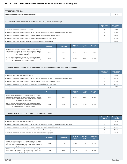| FFY 2017 SPP/APR Data                              |        |
|----------------------------------------------------|--------|
| Number of infants and toddlers with IFSPs assessed | 746.00 |

# **Outcome A: Positive social-emotional skills (including social relationships)**

|                                                                                                                                 | <b>Number of</b><br><b>Children</b> | Percentage of<br><b>Children</b> |
|---------------------------------------------------------------------------------------------------------------------------------|-------------------------------------|----------------------------------|
| a. Infants and toddlers who did not improve functioning                                                                         |                                     | 0.54%                            |
| b. Infants and toddlers who improved functioning but not sufficient to move nearer to functioning comparable to same-aged peers | 132                                 | 17.69%                           |
| c. Infants and toddlers who improved functioning to a level nearer to same-aged peers but did not reach it                      | 226                                 | 30.29%                           |
| d. Infants and toddlers who improved functioning to reach a level comparable to same-aged peers                                 | 308                                 | 41.29%                           |
| e. Infants and toddlers who maintained functioning at a level comparable to same-aged peers                                     | 76                                  | 10.19%                           |

|                                                                                                                                                                                                                                                  | <b>Numerator</b> | <b>Denominator</b> | <b>FFY 2016</b><br>Data | <b>FFY 2017</b><br><b>Target</b> | <b>FFY 2017</b><br><b>Data</b> |
|--------------------------------------------------------------------------------------------------------------------------------------------------------------------------------------------------------------------------------------------------|------------------|--------------------|-------------------------|----------------------------------|--------------------------------|
| A1. Of those children who entered or exited the program below age<br>expectations in Outcome A, the percent who substantially increased<br>their rate of growth by the time they turned 3 years of age or exited the<br>program (c+d)/(a+b+c+d). | 534.00           | 670.00             | 86.36%                  | 64.00%                           | 79.70%                         |
| A2. The percent of infants and toddlers who were functioning within<br>age expectations in Outcome A by the time they turned 3 years of age<br>or exited the program (d+e)/(a+b+c+d+e).                                                          | 384.00           | 746.00             | 47.90%                  | 31.75%                           | 51.47%                         |

# **Outcome B. Acquisition and use of knowledge and skills (including early language/ communication)**

|                                                                                                                                 | <b>Number of</b><br><b>Children</b> | Percentage of<br><b>Children</b> |
|---------------------------------------------------------------------------------------------------------------------------------|-------------------------------------|----------------------------------|
| a. Infants and toddlers who did not improve functioning                                                                         |                                     | 0.54%                            |
| b. Infants and toddlers who improved functioning but not sufficient to move nearer to functioning comparable to same-aged peers | 180                                 | 24.13%                           |
| c. Infants and toddlers who improved functioning to a level nearer to same-aged peers but did not reach it                      | 243                                 | 32.57%                           |
| d. Infants and toddlers who improved functioning to reach a level comparable to same-aged peers                                 | 269                                 | 36.06%                           |
| e. Infants and toddlers who maintained functioning at a level comparable to same-aged peers                                     | 50                                  | 6.70%                            |

|                                                                                                                                                                                                                                                  | <b>Numerator</b> | <b>Denominator</b> | <b>FFY 2016</b><br>Data | <b>FFY 2017</b><br><b>Target</b> | <b>FFY 2017</b><br>Data |
|--------------------------------------------------------------------------------------------------------------------------------------------------------------------------------------------------------------------------------------------------|------------------|--------------------|-------------------------|----------------------------------|-------------------------|
| B1. Of those children who entered or exited the program below age<br>expectations in Outcome B, the percent who substantially increased<br>their rate of growth by the time they turned 3 years of age or exited the<br>program (c+d)/(a+b+c+d). | 512.00           | 696.00             | 87.28%                  | 62.75%                           | 73.56%                  |
| B2. The percent of infants and toddlers who were functioning within<br>age expectations in Outcome B by the time they turned 3 years of age<br>or exited the program (d+e)/(a+b+c+d+e).                                                          | 319.00           | 746.00             | 40.81%                  | 33.00%                           | 42.76%                  |

# **Outcome C: Use of appropriate behaviors to meet their needs**

|                                                                                                                                 | Number of<br><b>Children</b> | Percentage of<br><b>Children</b> |
|---------------------------------------------------------------------------------------------------------------------------------|------------------------------|----------------------------------|
| a. Infants and toddlers who did not improve functioning                                                                         |                              | 0.80%                            |
| b. Infants and toddlers who improved functioning but not sufficient to move nearer to functioning comparable to same-aged peers | 159                          | 21.31%                           |
| c. Infants and toddlers who improved functioning to a level nearer to same-aged peers but did not reach it                      | 225                          | 30.16%                           |
| d. Infants and toddlers who improved functioning to reach a level comparable to same-aged peers                                 | 285                          | 38.20%                           |
| e. Infants and toddlers who maintained functioning at a level comparable to same-aged peers                                     |                              | 9.52%                            |

|                                                                                                                                                                                                                                                  | <b>Numerator</b> | <b>Denominator</b> | <b>FFY 2016</b><br><b>Data</b> | <b>FFY 2017</b><br><b>Target</b> | <b>FFY 2017</b><br><b>Data</b> |
|--------------------------------------------------------------------------------------------------------------------------------------------------------------------------------------------------------------------------------------------------|------------------|--------------------|--------------------------------|----------------------------------|--------------------------------|
| C1. Of those children who entered or exited the program below age<br>expectations in Outcome C, the percent who substantially increased<br>their rate of growth by the time they turned 3 years of age or exited the<br>program (c+d)/(a+b+c+d). | 510.00           | 675.00             | 87.95%                         | 63.00%                           | 75.56%                         |
| C2. The percent of infants and toddlers who were functioning within<br>age expectations in Outcome C by the time they turned 3 years of age<br>or exited the program (d+e)/(a+b+c+d+e).                                                          | 356.00           | 746.00             | 49.35%                         | 33.00%                           | 47.72%                         |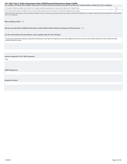# <span id="page-11-0"></span>FFY 2017 Part C State Performance Plan (SPP)/Annual Performance Report (APR)<br>The number of infants and toddlers who did not receive early intervention services for at least six months before exiting the Part C program

| The named of midney and teaders who are not receive carry microchiten services for at reast six months before exiting the Fait o program            |  |  |  |  |  |
|-----------------------------------------------------------------------------------------------------------------------------------------------------|--|--|--|--|--|
| The number of infants and toddlers who exited the Part C program during the reporting period, as reported in the State's part C exiting 618 data    |  |  |  |  |  |
| The number of those infants and toddlers who did not receive early intervention services for at least six months before exiting the Part C program. |  |  |  |  |  |

Please note that this data about the number of infants and toddlers who did not receive early intervention services for at least six months before exiting the Part C program is optional in this FFY16 submission. It will be in the FFY17 submission.

# Was sampling used? No

**Did you use the Early Childhood Outcomes Center (ECO) Child Outcomes Summary (COS) process?** Yes

# **List the instruments and procedures used to gather data for this indicator.**

The instruments used were the exiting data along with the child outcomes survey data. We compared the two sets of data making sure that we had a survey for every child that exited and who met the criteria of receiving services for at least six months.

# **Actions required in FFY 2016 response**

none

# **OSEP Response**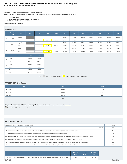# **Indicator 4: Family Involvement FFY 2017 Part C State Performance Plan (SPP)/Annual Performance Report (APR)**

Monitoring Priority: Early Intervention Services In Natural Environments

**Results indicator: Percent of families participating in Part C who report that early intervention services have helped the family:**

- **A. Know their rights;**
- **B. Effectively communicate their children's needs; and C. Help their children develop and learn.**

**(20 U.S.C. 1416(a)(3)(A) and 1442)**

#### **Historical Data**

|   | <b>Baseline</b><br>Year | <b>FFY</b>    | 2004 | 2005 | 2006   | 2007   | 2008   | 2009   | 2010   | 2011   | 2012   | 2013   | 2014   |
|---|-------------------------|---------------|------|------|--------|--------|--------|--------|--------|--------|--------|--------|--------|
| A | 2006                    | Target $\geq$ |      |      |        |        | 77.00% | 78.00% | 80.00% | 80.25% | 80.25% | 80.00% | 82.00% |
|   |                         | Data          |      |      | 59.00% | 62.00% | 65.10% | 65.00% | 67.90% | 64.20% | 68.00% | 75.00% | 78.96% |
| B |                         | Target $\geq$ |      |      |        |        | 67.00% | 68.00% | 70.00% | 70.25% | 70.25% | 80.00% | 82.00% |
|   | 2006                    | Data          |      |      | 70.00% | 67.50% | 70.30% | 69.00% | 71.30% | 67.90% | 71.00% | 81.00% | 81.84% |
|   |                         | Target $\geq$ |      |      |        |        | 84.00% | 85.00% | 87.00% | 87.25% | 87.25% | 80.00% | 82.00% |
| с | 2006                    | Data          |      |      | 71.00% | 70.80% | 72.80% | 73.00% | 75.90% | 73.20% | 75.00% | 80.00% | 87.84% |

|   | <b>FFY</b>    | 2015   | 2016   |
|---|---------------|--------|--------|
| А | Target $\geq$ | 84.00% | 86.00% |
|   | Data          | 81.24% | 81.19% |
| B | Target $\geq$ | 84.00% | 86.00% |
|   | Data          | 85.55% | 89.16% |
|   | Target $\geq$ | 84.00% | 86.00% |
| c | Data          | 85.55% | 89.16% |

Key: Gray – Data Prior to Baseline Vellow – Baseline Blue – Data Update

# **FFY 2017 - FFY 2018 Targets**

| 90.00% |
|--------|
| 90.00% |
| 90.00% |
|        |

Key:

# **Targets: Description of Stakeholder Input** - Please see the Stakeholder Involvement section of the *introduction*.

**Enter additional information about stakeholder involvement** 

#### **FFY 2017 SPP/APR Data**

| Number of families to whom surveys were distributed                                                                                                                         |        | 1,750 |
|-----------------------------------------------------------------------------------------------------------------------------------------------------------------------------|--------|-------|
| Number of respondent families participating in Part C                                                                                                                       | 22.00% | 385   |
| A1. Number of respondent families participating in Part C who report that early intervention services have helped the family know their rights                              |        | 317   |
| A2. Number of responses to the question of whether early intervention services have helped the family know their rights                                                     |        | 382   |
| B1. Number of respondent families participating in Part C who report that early intervention services have helped the family effectively communicate their children's needs |        | 333   |
| B2. Number of responses to the question of whether early intervention services have helped the family effectively communicate their children's needs                        |        | 379   |
| C1. Number of respondent families participating in Part C who report that early intervention services have helped the family help their children develop and learn          |        | 333   |
| C2. Number of responses to the question of whether early intervention services have helped the family help their children develop and learn                                 |        | 383   |

|                                                                                                                              | <b>FFY 2016</b><br><b>Data</b> | <b>FFY 2017</b><br><b>Target</b> | <b>FFY 2017</b><br>Data |
|------------------------------------------------------------------------------------------------------------------------------|--------------------------------|----------------------------------|-------------------------|
| A. Percent of families participating in Part C who report that early intervention services have helped the family know their | 81.19%                         | 88.00%                           | 82.98%                  |
| 8/2/2019                                                                                                                     |                                |                                  |                         |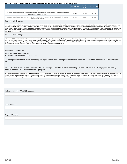<span id="page-13-0"></span>

|                                                                                                                                                                     | <b>FFY 2016 Data</b> | <b>FFY 2017</b><br><b>Target</b> | FFY 2017 Data |
|---------------------------------------------------------------------------------------------------------------------------------------------------------------------|----------------------|----------------------------------|---------------|
| rights                                                                                                                                                              |                      |                                  |               |
| B. Percent of families participating in Part C who report that early intervention services have helped the family effectively<br>communicate their children's needs | 89.16%               | 88.00%                           | 87.86%        |
| C. Percent of families participating in Part C who report that early intervention services have helped the family help their<br>children develop and learn          | 89.16%               | 88.00%                           | 86.95%        |

#### **Reasons for B Slippage**

The Data Manager examined information received from Arkansas families related to the percentage of families participating in Part C who report that early intervention services have helped the family effectively communicate their children's needs. Data comparisons between FFY 2016 and FFY 2017 showed a slight decrease in the overall percent of parents that reported that aarly intervention services have helped the family communicate the needs of their children. Analysis conducted by the Lead Agency indicated that families reported that early intervention has done a good job of helping them effectively communicate their child's needs, however the data indi family need additional supports fully meet their expectations. Arkansas Part C will continue to make every effort to ensure that local AEIS providers and state staff are given professional development opportunities to enha their abilities to support families.

#### **Reasons for C Slippage**

Arkansas Part C Data Unit staff reviewed information from the Family Outcome Survey analysis report regarding the percentage of families' participation in Part C who reported that early intervention services have helped th family help their children develop and learn. Summary data indicated that Arkansas Part C parents have learned a lot, but still need or want additional support. First Connections Professional Development team along with ot program staff will continue to provide targeted training and assistance to local AEIS provider and state staff. As part of the states SSIP work, staff developed materials and documents that can be used with families. First Connections staff will make sure that providers are aware of these supports and how to implement them as required.

**Was sampling used?** No

**Was a collection tool used?** Yes **Is it a new or revised collection tool?** No

**The demographics of the families responding are representative of the demographics of infants, toddlers, and families enrolled in the Part C program.** Yes

**Include the State's analysis of the extent to which the demographics of the families responding are representative of the demographics of infants, toddlers, and families enrolled in the Part C program.**

During the reporting period, Arkansas Part C staff distributed over 1750 surveys to families of infants and toddlers with active IFSPs. Parents of the Part C program were given numerous opportunities to respond to the fami survey, hard copy via mail, telephone and the First Connections website. The following demographics were collected from all respondents: county of residence, race and ethnicity, and child's AEIS provider. Arkansas First Connections received survey responses from all 75 counties in the state which shows representation of all areas of the state by race and ethnicity categories of the population of families in the Arkansas Part C program.

#### **Actions required in FFY 2016 response**

none

**OSEP Response**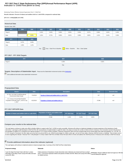# **Indicator 5: Child Find (Birth to One) FFY 2017 Part C State Performance Plan (SPP)/Annual Performance Report (APR)**

Monitoring Priority: Effective General Supervision Part C / Child Find

**Results indicator: Percent of infants and toddlers birth to 1 with IFSPs compared to national data.**

#### **(20 U.S.C. 1416(a)(3)(B) and 1442)**

| <b>Historical Data</b> |       |       |       |       |       |                                                                      |       |       |       |       |       |
|------------------------|-------|-------|-------|-------|-------|----------------------------------------------------------------------|-------|-------|-------|-------|-------|
| Baseline Data: 2005    |       |       |       |       |       |                                                                      |       |       |       |       |       |
| <b>FFY</b>             | 2004  | 2005  | 2006  | 2007  | 2008  | 2009                                                                 | 2010  | 2011  | 2012  | 2013  | 2014  |
| Target $\geq$          |       |       | 0.42% | 0.45% | 0.66% | 0.55%                                                                | 0.55% | 0.57% | 0.58% | 0.45% | 0.45% |
| Data                   |       | 0.39% | 1.02% | 0.72% | 0.66% | 0.61%                                                                | 0.96% | 0.85% | 1.01% | 0.44% | 0.36% |
| <b>FFY</b>             | 2015  | 2016  |       |       |       |                                                                      |       |       |       |       |       |
| Target $\geq$          | 0.47% | 0.48% |       |       |       |                                                                      |       |       |       |       |       |
| Data                   | 1.56% | 1.10% |       |       |       |                                                                      |       |       |       |       |       |
|                        |       |       | Key:  |       |       | Gray - Data Prior to Baseline   Yellow - Baseline Blue - Data Update |       |       |       |       |       |
|                        |       |       |       |       |       |                                                                      |       |       |       |       |       |

## **FFY 2017 - FFY 2018 Targets**

| <b>FFY</b>    | 2017  | 2018  |
|---------------|-------|-------|
| Target $\geq$ | 0.49% | 0.50% |
|               | Key:  |       |

# **Targets: Description of Stakeholder Input** - Please see the Stakeholder Involvement section of the *introduction*.

Enter additional information about stakeholder involvement

# **Prepopulated Data**

| <b>Source</b>                                                                             | <b>Date</b> | <b>Description</b>                                   | <b>Data</b> | Overwrite Data |
|-------------------------------------------------------------------------------------------|-------------|------------------------------------------------------|-------------|----------------|
| SY 2017-18 Child Count/Educational<br><b>Environment Data Groups</b>                      | 7/11/2018   | Number of infants and toddlers birth to 1 with IFSPs | 247         | null           |
| U.S. Census Annual State Resident<br>Population Estimates April 1, 2010 to July<br>1.2017 | 6/12/2018   | Population of infants and toddlers birth to 1        | 37,966      | null           |

# **FFY 2017 SPP/APR Data**

| . Number of infants and toddlers birth to 1 with IFSPs $^{\rm !}$ | <b>Population of infants and toddlers birth</b><br>to ' | FFY 2016 Data | FFY 2017 Target | FFY 2017 Data |  |
|-------------------------------------------------------------------|---------------------------------------------------------|---------------|-----------------|---------------|--|
| 247                                                               | 37,966                                                  | 1.10%         | 0.49%           | 0.65%         |  |

#### **Compare your results to the national data**

The Lead Agency continues to make every effort to identity children to support under Part C of IDEA as early as possible. Arkansas will continue to implement strategies to increase awareness of the importance of early intervention. Lead Agency staff developed a Child Find Plan with several phases of implementation to guide the state in the steps to increase the number of infants served in Arkansas. First Connections served 0.65 percent of the population of children (0-1) compared to the national average of 1.25. As part of further evaluation, Arkansas reviewed the child count and compared data across several states with similar demographics: AL, GA, MS, TN, KY, SC. Except for Tennessee, the other states serve less than one percent birth to one. While the percentages for children under age 1 are low for those states, Arkansas child find remains a challenge. There remains work

# **Provide additional information about this indicator (optional)**

The Lead Agency will continue to implement actions to improve program data. A summary of the Child Find Plan is listed below:

for related services.

| Proposed strategy                                                                                                                              | Rationale                                                                                                                                                                                                                            | <b>Status</b>                                                                                       |
|------------------------------------------------------------------------------------------------------------------------------------------------|--------------------------------------------------------------------------------------------------------------------------------------------------------------------------------------------------------------------------------------|-----------------------------------------------------------------------------------------------------|
| "Learn the Signs"/Act Early Poster with Part C contact<br>information in the lobby of each county DHS office and each<br>$1.1100 \cdot 10.000$ | Public awareness of importance of early intervention when milestones are missed and how to contact<br>Part C. Low-income expectant mothers and parents of infants visit WIC offices and county DHS offices<br>for a state discussion | In Process- Require additional state level approval. Will initial<br>a second attempt for approval. |

information in the lobby of each county DHS office and each county WIC office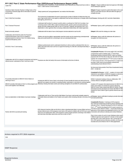| Cable PSA                                                                                                                                                                                         | FFY 2017 Part C State Performance Plan (SPP)/Annual Performance Report (APR)<br>Public awareness of importance of early intervention when milestones are missed and how to refer to<br>Part C. Cable reaches a broad audience.                                                                                                                                                                                                                            | Delayed - Require additional state level approval. Will initiate<br>second attempt for approval.                                                                                                                                                                                                                                                                                                                                                                                                                                                                                                                                                                 |
|---------------------------------------------------------------------------------------------------------------------------------------------------------------------------------------------------|-----------------------------------------------------------------------------------------------------------------------------------------------------------------------------------------------------------------------------------------------------------------------------------------------------------------------------------------------------------------------------------------------------------------------------------------------------------|------------------------------------------------------------------------------------------------------------------------------------------------------------------------------------------------------------------------------------------------------------------------------------------------------------------------------------------------------------------------------------------------------------------------------------------------------------------------------------------------------------------------------------------------------------------------------------------------------------------------------------------------------------------|
| Henderson State University Teacher's College hosts a First<br>Connections Facebook page with EI information for parents<br>and the public.                                                        | Today's parents and "young grandparents" use media to find information.                                                                                                                                                                                                                                                                                                                                                                                   | Delayed- Program required to submit information to the Lead<br>Agency's Face Book account. Will work within the agency to<br>complete this task.                                                                                                                                                                                                                                                                                                                                                                                                                                                                                                                 |
| Part C Child Find Committee                                                                                                                                                                       | The involvement of stakeholders focused in improving the number of referrals of infants less than one<br>year of age would result in cross-agency collaboration that has been lacking due to changes within the In Process- Working with AICC and other Stakeholders<br>lead agency, personnel, etc.                                                                                                                                                      |                                                                                                                                                                                                                                                                                                                                                                                                                                                                                                                                                                                                                                                                  |
| Part C Outreach Personnel                                                                                                                                                                         | A dedicated staff member for outreach would be able to coordinate the Child Find Committee, host<br>"screening events" at WIC offices, attend events/host booths, speak to parent and parent advocacy<br>groups and other related groups (with our new "El Overview" material), and represent Part C as a<br>stakeholder in other agencies (thus increasing collaboration/relationships with related agencies).                                           | In Process- Agency staff is participating in outreach activities                                                                                                                                                                                                                                                                                                                                                                                                                                                                                                                                                                                                 |
| Broad community outreach                                                                                                                                                                          | Collaborate with the state to have a brief program overview attached to each tax bill.                                                                                                                                                                                                                                                                                                                                                                    | Delayed- Will revisit the strategy at a later date                                                                                                                                                                                                                                                                                                                                                                                                                                                                                                                                                                                                               |
| Collaboration with DCCECE and/or the Preschool<br>Suspension/Expulsion Task Force to establish a<br>policy/procedure for referral to Part C for children facing<br>suspension/disciplinary action | Children who lack the ability to appropriately meet their needs may be experiencing a developmental<br>delay and would benefit from a screening to rule out a developmental issue.                                                                                                                                                                                                                                                                        | In Process- Agency staff will collaborate with partners to<br>strengthen the referral process                                                                                                                                                                                                                                                                                                                                                                                                                                                                                                                                                                    |
| DCCECE / Part C Joint training                                                                                                                                                                    | Childcare professionals need to understand when/how to refer as well as understand their role on a<br>child's early intervention team and how to support the learning of a child with a developmental delay in<br>the classroom.                                                                                                                                                                                                                          | In Process- Agency staff will collaborate with partners to<br>strengthen the referral process                                                                                                                                                                                                                                                                                                                                                                                                                                                                                                                                                                    |
| referral sources' understand of Part C and how to refer.                                                                                                                                          | Collaboration with ACH to outreach to physicians and improve Physicians are often the family's first source of information at the time of referral.                                                                                                                                                                                                                                                                                                       | Completed/In Process- ACH survey staff in 2017 and 2018 a<br>compared the results to identify needs. 1 <sup>st</sup> Peds Place<br>broadcasted training conducted 5/2018. Follow up meeting<br>proposed with ACH this fall (no date set). Met with ACH team<br>12/2018. We compared data from 2 <sup>nd</sup> ACH survey to data fron<br>1 <sup>st</sup> ACH survey and saw a .5% improvement in a couple of are<br>and dips in other areas around pediatric professionals'<br>understanding of and referral to Part C.<br>We discussed doing another Peds Place broadcasted training<br>$2019 - no$ date set.                                                   |
| FC provides information to MIECHV Home Visitors on<br>referring to Part C<br>MIEHCV provides information to Part C on their program and<br>how to work together more effectively                  | Including the MIECHV Home Visitor on the family's EI team benefits the family and child and the two<br>agencies can support one another in assisting families, particularly in rural areas by working together<br>effectively. Sharing information and/or joint training strengthens EI and MIECHV professionals.                                                                                                                                         | Completed/ In Process - In 2017 - creation of a home visiting<br>referral form and addition of MIECHV program to referral sou<br>in CDS to track referrals - share data with MIECHV.<br>9/2018- Conducted meeting to discuss collaboration. Will<br>continue efforts to strengthen partnership.<br>Creation of FC program information/overview for MIECHV ho<br>visitors and creation of a handout for parents referred by<br>MIECHV Home Visitor shared with MIECHV 9/2018. Prograr<br>information/overview developed and shared with MIECHV 9/20<br>Handout for Home Visitor to give to parents referred was sent<br>9/2018.                                   |
| Serve as stakeholder on Safe Babies Court team meetings.                                                                                                                                          | Collaboration with Zero to Three and the Safe Babies Court team could provide valuable support to<br>vulnerable infants and toddlers in the Pulaski court system while increasing referrals in this area of the<br>state.                                                                                                                                                                                                                                 | In Process- Agency staff attend meeting to provide informatio<br>and build partnerships.                                                                                                                                                                                                                                                                                                                                                                                                                                                                                                                                                                         |
| Partner with EHS to provide joint training.                                                                                                                                                       | EHS classroom teachers often are the first to notice a developmental delay in young children and are a mow that I've been referred" 12/2017 – unsure if the handout was<br>primary referral source. EHS programs must meet a 10% quote for children with an IFSP but in some<br>areas are not meeting their ratios. EHS programs conduct regular periodic screenings of all children<br>and need clear information about when and how to refer to Part C. | <b>Completed/In Process- 3 trainings at EHS programs</b><br>2017-2018 and TA/planning provided by phone regarding mak<br>referrals to Part C. Handout developed for EHS on referring to<br>Part C. 2 <sup>nd</sup> Handout developed for EHS to give to parents on<br>Connections will continue to develop and conduct Webinars.<br>Plan to host a series of Lunch & Learn Webinars where reps f<br>5 different agencies each speak for 5 minutes on their progran<br>who they serve, who to refer and how. Like a "service fair" for<br>SCs, EHS special services directors, providers, etc these will<br>recorded and can be linked on the FC Web page/shared. |

# **Actions required in FFY 2016 response**

none

# **OSEP Response**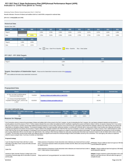# **Indicator 6: Child Find (Birth to Three) FFY 2017 Part C State Performance Plan (SPP)/Annual Performance Report (APR)**

Monitoring Priority: Effective General Supervision Part C / Child Find

**Results indicator: Percent of infants and toddlers birth to 3 with IFSPs compared to national data.**

#### **(20 U.S.C. 1416(a)(3)(B) and 1442)**

| <b>Historical Data</b><br>Baseline Data: 2005 |       |       |       |                               |       |                   |                    |       |       |       |       |
|-----------------------------------------------|-------|-------|-------|-------------------------------|-------|-------------------|--------------------|-------|-------|-------|-------|
| <b>FFY</b>                                    | 2004  | 2005  | 2006  | 2007                          | 2008  | 2009              | 2010               | 2011  | 2012  | 2013  | 2014  |
| Target $\geq$                                 |       |       | 2.25% | 2.78%                         | 2.30% | 2.35%             | 2.37%              | 2.37% | 2.37% | 1.20% | 1.30% |
| Data                                          |       | 2.25% | 2.75% | 2.34%                         | 2.33% | 2.19%             | 2.75%              | 2.73% | 2.72% | 1.19% | 1.00% |
| <b>FFY</b>                                    | 2015  | 2016  |       |                               |       |                   |                    |       |       |       |       |
| Target $\geq$                                 | 1.40% | 1.50% |       |                               |       |                   |                    |       |       |       |       |
| Data                                          | 1.74% | 1.51% |       |                               |       |                   |                    |       |       |       |       |
|                                               |       |       | Key:  | Gray - Data Prior to Baseline |       | Yellow - Baseline | Blue - Data Update |       |       |       |       |

## **FFY 2017 - FFY 2018 Targets**

| <b>FFY</b>               | 2017  | 2018  |
|--------------------------|-------|-------|
| $\sqrt{ }$ Target $\geq$ | 1.80% | 1.90% |
|                          | Key:  |       |

# **Targets: Description of Stakeholder Input** - Please see the Stakeholder Involvement section of the *introduction*.

Enter additional information about stakeholder involvement

# **Prepopulated Data**

| <b>Source</b>                                                                             | <b>Date</b> | <b>Description</b>                                   | <b>Data</b> | <b>Overwrite Data</b> |
|-------------------------------------------------------------------------------------------|-------------|------------------------------------------------------|-------------|-----------------------|
| SY 2017-18 Child Count/Educational<br><b>Environment Data Groups</b>                      | 7/11/2018   | Number of infants and toddlers birth to 3 with IFSPs | 945         |                       |
| U.S. Census Annual State Resident<br>Population Estimates April 1, 2010 to July<br>1.2017 | 6/12/2018   | Population of infants and toddlers birth to 3        | 115,242     |                       |

#### **FFY 2017 SPP/APR Data**

| Number of infants and toddlers birth to 3 with<br><b>IFSPs</b> | Population of infants and toddlers birth to 3 | <b>FFY 2016</b><br>Data | <b>FFY 2017</b><br><b>Target</b> | <b>FFY 2017</b><br><b>Data</b> |
|----------------------------------------------------------------|-----------------------------------------------|-------------------------|----------------------------------|--------------------------------|
| 945                                                            | 115.242                                       | 1.51%                   | 1.80%                            | 0.82%                          |
| <b>Reasons for Slippage</b>                                    |                                               |                         |                                  |                                |

First Connections strives to improve the percentage of infants and toddlers birth to three served in the Part C program. As part of rebranding the Part C program, the Lead Agency designed materials and documents to provide guidance around the purpose of Part C. Further analysis indicated that some entities had additional need for clarification regarding the purpose and failed to initiate a referral, as required. Arkansas Part C has w with some of the persons in question and provided additional technical assistance to ensure clarity. During the course of the fiscal year Lead Agency staff reviewed the strategies outlined in the Child Find Plan and worked stakeholders to strengthen program initiatives. The proposed strategies range from improving public awareness activities, to working with University staff on using social media to reach families and collaborate with partne to develop and implement new policies and procedures. Progress related to the strategies included in the Child Find Plan vary from completed, in process, and delayed for a variety of reasons. Part C staff developed an outl of the Child Find Plan for the state Interagency Coordinating Council and asked for their guidance and supports as it relates to improving the programs percentages. The state anticipates the development of sub-committees<br>a C program. The new policy should provide families with additional options for supports and increase the overall percentage of infants and toddlers served by First Connections. The Lead Agency will continue to implement actions to improve program data. A summary of activities are listed below:

| Proposed strategy                                                                                                                          | Rationale                                                                                                                                                                                                                           | <b>Status</b>                                                                                                                                    |  |
|--------------------------------------------------------------------------------------------------------------------------------------------|-------------------------------------------------------------------------------------------------------------------------------------------------------------------------------------------------------------------------------------|--------------------------------------------------------------------------------------------------------------------------------------------------|--|
| "Learn the Signs"/Act Early Poster with Part C contact<br>information in the lobby of each county DHS office and each<br>county WIC office | Public awareness of importance of early intervention when milestones are missed and how to contact<br>Part C. Low-income expectant mothers and parents of infants visit WIC offices and county DHS offices<br>for related services. | In Process- Require additional state level approval. Will initial<br>a second attempt for approval.                                              |  |
| Cable PSA                                                                                                                                  | Public awareness of importance of early intervention when milestones are missed and how to refer to<br>Part C. Cable reaches a broad audience.                                                                                      | Delayed - Require additional state level approval. Will initiate<br>second attempt for approval.                                                 |  |
| Henderson State University Teacher's College hosts a First<br>Connections Facebook page with EI information for parents<br>and the public. | Today's parents and "young grandparents" use media to find information.                                                                                                                                                             | Delayed- Program required to submit information to the Lead<br>Agency's Face Book account. Will work within the agency to<br>complete this task. |  |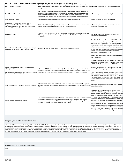| Part C Child Find Committee                                                                                                                                                                       | The involvement of stakeholders focused in improving the number of referrals of infants less than one<br>year of age would result in cross-agency collaboration that has been lacking due to changes within the <b>In Process-</b> Working with AICC and other Stakeholders<br>lead agency, personnel, etc.                                                                                                     |                                                                                                                                                                                                                                                                                                                                                                                                                                                                                                                                                                                                                                                                                                                                                                                                  |
|---------------------------------------------------------------------------------------------------------------------------------------------------------------------------------------------------|-----------------------------------------------------------------------------------------------------------------------------------------------------------------------------------------------------------------------------------------------------------------------------------------------------------------------------------------------------------------------------------------------------------------|--------------------------------------------------------------------------------------------------------------------------------------------------------------------------------------------------------------------------------------------------------------------------------------------------------------------------------------------------------------------------------------------------------------------------------------------------------------------------------------------------------------------------------------------------------------------------------------------------------------------------------------------------------------------------------------------------------------------------------------------------------------------------------------------------|
| Part C Outreach Personnel                                                                                                                                                                         | A dedicated staff member for outreach would be able to coordinate the Child Find Committee, host<br>"screening events" at WIC offices, attend events/host booths, speak to parent and parent advocacy<br>groups and other related groups (with our new "El Overview" material), and represent Part C as a<br>stakeholder in other agencies (thus increasing collaboration/relationships with related agencies). | In Process- Agency staff is participating in outreach activities                                                                                                                                                                                                                                                                                                                                                                                                                                                                                                                                                                                                                                                                                                                                 |
| Broad community outreach                                                                                                                                                                          | Collaborate with the state to have a brief program overview attached to each tax bill.                                                                                                                                                                                                                                                                                                                          | Delayed- Will revisit the strategy at a later date                                                                                                                                                                                                                                                                                                                                                                                                                                                                                                                                                                                                                                                                                                                                               |
| Collaboration with DCCECE and/or the Preschool<br>Suspension/Expulsion Task Force to establish a<br>policy/procedure for referral to Part C for children facing<br>suspension/disciplinary action | Children who lack the ability to appropriately meet their needs may be experiencing a developmental<br>delay and would benefit from a screening to rule out a developmental issue.                                                                                                                                                                                                                              | In Process- Agency staff will collaborate with partners to<br>strengthen the referral process                                                                                                                                                                                                                                                                                                                                                                                                                                                                                                                                                                                                                                                                                                    |
| DCCECE / Part C Joint training                                                                                                                                                                    | Childcare professionals need to understand when/how to refer as well as understand their role on a<br>child's early intervention team and how to support the learning of a child with a developmental delay in<br>the classroom.                                                                                                                                                                                | In Process- Agency staff will collaborate with partners to<br>strengthen the referral process                                                                                                                                                                                                                                                                                                                                                                                                                                                                                                                                                                                                                                                                                                    |
| Collaboration with ACH to outreach to physicians and improve<br>referral sources' understand of Part C and how to refer.                                                                          | Physicians are often the family's first source of information at the time of referral.                                                                                                                                                                                                                                                                                                                          | Completed/In Process- ACH survey staff in 2017 and 2018 a<br>compared the results to identify needs. 1 <sup>st</sup> Peds Place<br>broadcasted training conducted 5/2018. Follow up meeting<br>proposed with ACH this fall (no date set). Met with ACH team<br>12/2018. We compared data from 2 <sup>nd</sup> ACH survey to data fron<br>1 <sup>St</sup> ACH survey and saw a .5% improvement in a couple of are<br>and dips in other areas around pediatric professionals'<br>understanding of and referral to Part C.<br>We discussed doing another Peds Place broadcasted training<br>$2019 - no$ date set.                                                                                                                                                                                   |
| FC provides information to MIECHV Home Visitors on<br>referring to Part C<br>MIEHCV provides information to Part C on their program and<br>how to work together more effectively                  | Including the MIECHV Home Visitor on the family's EI team benefits the family and child and the two<br>agencies can support one another in assisting families, particularly in rural areas by working together<br>effectively. Sharing information and/or joint training strengthens EI and MIECHV professionals.                                                                                               | Completed/ In Process - In 2017 - creation of a home visitin<br>referral form and addition of MIECHV program to referral sou<br>in CDS to track referrals - share data with MIECHV.<br>9/2018- Conducted meeting to discuss collaboration. Will<br>continue efforts to strengthen partnership.<br>Creation of FC program information/overview for MIECHV ho<br>visitors and creation of a handout for parents referred by<br>MIECHV Home Visitor shared with MIECHV 9/2018. Progran<br>information/overview developed and shared with MIECHV 9/20<br>Handout for Home Visitor to give to parents referred was sent<br>9/2018.                                                                                                                                                                    |
| Serve as stakeholder on Safe Babies Court team meetings.                                                                                                                                          | Collaboration with Zero to Three and the Safe Babies Court team could provide valuable support to<br>vulnerable infants and toddlers in the Pulaski court system while increasing referrals in this area of the<br>state.                                                                                                                                                                                       | In Process- Agency staff attend meeting to provide informatio<br>and build partnerships.                                                                                                                                                                                                                                                                                                                                                                                                                                                                                                                                                                                                                                                                                                         |
| Partner with EHS to provide joint training.                                                                                                                                                       | EHS classroom teachers often are the first to notice a developmental delay in young children and are a<br>primary referral source. EHS programs must meet a 10% quote for children with an IFSP but in some<br>areas are not meeting their ratios. EHS programs conduct regular periodic screenings of all children<br>and need clear information about when and how to refer to Part C.                        | Completed/In Process- 3 trainings at EHS programs<br>2017-2018 and TA/planning provided by phone regarding mak<br>referrals to Part C. Handout developed for EHS on referring to<br>Part C. 2 <sup>nd</sup> Handout developed for EHS to give to parents on<br>"now that I've been referred" 12/2017 - unsure if the handout wa<br>approved or if the handout was distributed to EHS or not. First<br>Connections will continue to develop and conduct Webinars.<br>Plan to host a series of Lunch & Learn Webinars where reps f<br>5 different agencies each speak for 5 minutes on their program<br>who they serve, who to refer and how. Like a "service fair" for<br>SCs, EHS special services directors, providers, etc these will<br>recorded and can be linked on the FC Web page/shared. |

# **Compare your results to the national data**

Arkansas Part C makes every effort to identity children under Part C of IDEA. The Lead Agency will continue to implement strategies to increase awareness of the importance of early intervention. Lead Agency staff developed serve less than one percent birth to one, however, the range of children served birth to three is from 1.85 (MS) to 3.08 (KY). There remains work to be done regarding this indicator. Therefore, Arkansas Part C will partici in a newly created Child Find committee whose first task will be to review and address the child find process in Arkansas and to develop a Child Find manual**.**

#### **Actions required in FFY 2016 response**

none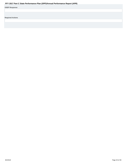<span id="page-19-0"></span>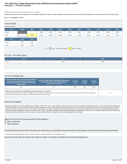# **Indicator 7: 45-day timeline FFY 2017 Part C State Performance Plan (SPP)/Annual Performance Report (APR)**

Monitoring Priority: Effective General Supervision Part C / Child Find

Compliance indicator: Percent of eligible infants and toddlers with IFSPs for whom an initial evaluation and initial assessment and an initial IFSP meeting were conducted within Part C's 45-day timeline.

#### **(20 U.S.C. 1416(a)(3)(B) and 1442)**

| <b>Historical Data</b><br>Baseline Data: 2005 |        |        |        |        |                               |        |                   |        |        |        |        |
|-----------------------------------------------|--------|--------|--------|--------|-------------------------------|--------|-------------------|--------|--------|--------|--------|
| <b>FFY</b>                                    | 2004   | 2005   | 2006   | 2007   | 2008                          | 2009   | 2010              | 2011   | 2012   | 2013   | 2014   |
| Target                                        |        |        | 100%   | 100%   | 100%                          | 100%   | 100%              | 100%   | 100%   | 100%   | 100%   |
| Data                                          |        | 75.80% | 84.00% | 88.00% | 82.00%                        | 99.00% | 94.00%            | 92.00% | 93.00% | 88.11% | 87.97% |
| <b>FFY</b>                                    | 2015   | 2016   |        |        |                               |        |                   |        |        |        |        |
|                                               |        |        |        |        |                               |        |                   |        |        |        |        |
| Target                                        | 100%   | 100%   |        |        |                               |        |                   |        |        |        |        |
| Data                                          | 92.41% | 87.25% |        |        |                               |        |                   |        |        |        |        |
|                                               |        |        |        | Key:   | Gray - Data Prior to Baseline |        | Yellow - Baseline |        |        |        |        |

# **FFY 2017 - FFY 2018 Targets**

| FFY    | 2017 | 2018 |
|--------|------|------|
| Target | 100% | 100% |

# **FFY 2017 SPP/APR Data**

| Number of eligible infants and toddlers with IFSPs for<br>whom an initial evaluation and assessment and an<br>initial IFSP meeting was conducted within Part C's<br>45-day timeline | Number of eligible infants and toddlers evaluated and<br>assessed for whom an initial IFSP meeting was<br>required to be conducted                                           | <b>FFY 2016</b><br>Data | <b>FFY 2017</b><br><b>Target</b> | <b>FFY 2017</b><br>Data |
|-------------------------------------------------------------------------------------------------------------------------------------------------------------------------------------|------------------------------------------------------------------------------------------------------------------------------------------------------------------------------|-------------------------|----------------------------------|-------------------------|
| 180                                                                                                                                                                                 | 319                                                                                                                                                                          | 87.25%                  | 100%                             | 83.07%                  |
| Number of documented delays attributable to exceptional family circumstances<br>within Part C's 45-day timeline" field above to calculate the numerator for this indicator.         | This number will be added to the "Number of eligible infants and toddlers with IFSPs for whom an initial evaluation and assessment and an initial IFSP meeting was conducted |                         |                                  |                         |

#### **Reasons for Slippage**

Program data related to the number of eligible infants and toddlers with IFSP's for whom an initial evaluation and assessment and an initial IFSP meeting was conducted within Part C's 45-day timeline decreased slightly fro FFY2016. During the course of the fiscal year the state of Arkansas implemented a new electronic payment system for all provider types. The change from the old system to the new caused a delay in payment to providers for supports and services. Arkansas Part C has and will continue to work with the "new system" developers to ensure that the system is processing request as required. Also, First Connections staff provide intensive technical<br>a be given their data and allowed time to review the stats and the state provide clarification and guidance is one of the leading suggestions for progress.

**What is the source of the data provided for this indicator?**

**C** State monitoring

*C* State database

**Provide the time period in which the data were collected (e.g., September through December, fourth quarter, selection from the full reporting period).**

Lead Agency staff collected data from January 1-March 30, 2018 to represent reporting for the full fiscal year. (2017)

**Describe how the data accurately reflect data for infants and toddlers with IFSPs for the full reporting period.**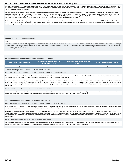Information was gathered from the Comprehensive Data System, by the Part C Data Unit, to report the percentage of infants and toddlers receiving evaluations, assessments and IFSP meetings within the required timeframe. AEIS providers, along with the state staff, use the statewide data system to report data on children receiving supports and services. Arkansas developed the CDS to capture and display data that reflects the status of the i and toddler early intervention file, on demand.

Individual data for each child's file, in CDS includes the following: the first date of service as indicated on the child's IFSP, and the date of the signed IFSP. Part C staff are allowed access to the AEIS providers elect record to work together to assist in finding a means to address concerns surrounding the infants and toddlers that are assigned to their caseload. Program data is collected from Independent Service Providers, state service coordinators and License Community Programs. Data for children served in the Part C program was pulled for IFSP, with dates starting January 1- March 30, 2018 and sent to each AEIS provider for verification and submission. With close consideration and care, Part C selected this time period in order to capture the same children as reported in Indicator 1.

Under the guidance of the Data Manager, agency staff analyzed data to determine if the children who received their services in a timely manner also had an evaluation and assessment and IFSP developed in 45 days. In order to ensure the accuracy of the data, additional time and evaluation was given for validation and verification. The Data Manager conducted further analysis of all information regarding data that was reported for this time pe data for the full year (FFY 2017) and determined that it is reflective of a full year of data.

#### **Actions required in FFY 2016 response**

none

Note: Any actions required in last year's response table that are related to correction of findings should be responded to on the "Correction of Previous Findings of Noncompliance" page of this indicator. If your State's only actions required in last year's response are related to findings of noncompliance, a text field will not be displayed on this page.

#### **Correction of Findings of Noncompliance Identified in FFY 2016**

| <b>Findings of Noncompliance Identified</b> | <b>Findings of Noncompliance Verified as</b><br><b>Corrected Within One Year</b> | <b>Findings of Noncompliance Subsequently</b><br>Corrected | <b>Findings Not Yet Verified as Corrected</b> |
|---------------------------------------------|----------------------------------------------------------------------------------|------------------------------------------------------------|-----------------------------------------------|
|                                             |                                                                                  |                                                            |                                               |

#### **FFY 2016 Findings of Noncompliance Verified as Corrected**

Describe how the State verified that the source of noncompliance is correctly implementing the regulatory requirements

Upon the identification of noncompliance, the AEIS provider is issued a written finding and are required to correct the noncompliance within 90 days. As part of the subsequent review, monitoring staff examined a percentage new records to ensure that all infants and toddlers received evaluations, assessments and IFSP meetings in a timely manner.

As required, First Connections monitoring staff reviewed a percentage of updated files from each local provider to determine if subsequent infants and toddlers had an evaluation and an IFSP within the 45-day timeframe. Lea Agency staff completed this process in accordance with the guidance provided in OSEP Memorandum 09-02, dated October 17, 2008 (OSEP Memo 09-02). Part C Monitoring staff determined that each EIS provider, for whom data formerly showed non-compliance has corrected the noncompliance and is correctly implementing the requlatory requirement for infants and toddlers who receive evaluations, assessments and IFSP meetings within the required time.

Describe how the State verified that each individual case of noncompliance was corrected

Part C monitoring staff examined the individual child record of each infant or toddler who did not have an evaluation, assessment and IFSP meeting within 45 days. The review of records indicated that children who had not received evaluations, assessments and timely IFSP meetings indeed had subsequently completed evaluation and the IFSP meeting was conducted, although late.

#### **FFY 2015 Findings of Noncompliance Verified as Corrected**

Describe how the State verified that the source of noncompliance is correctly implementing the regulatory requirements

Upon the identification of noncompliance, the AEIS provider is issued a written finding and are required to correct the noncompliance within 90 days. As part of the subsequent review, monitoring staff examined a percentage new records to ensure that all infants and toddlers received evaluations, assessments and IFSP meetings in a timely manner.

As required, First Connections monitoring staff reviewed a percentage of updated files from each local provider to determine if subsequent infants and toddlers had an evaluation and an IFSP within the 45-day timeframe. Lea Agency staff completed this process in accordance with the guidance provided in OSEP Memorandum 09-02, dated October 17, 2008 (OSEP Memo 09-02). Part C Monitoring staff determined that each EIS provider, for whom data formerly showed non-compliance has corrected the noncompliance and is correctly implementing the regulatory requirement for infants and toddlers who receive evaluations, assessments and IFSP meetings within the required time.

Describe how the State verified that each individual case of noncompliance was corrected

Part C monitoring staff examined the individual child record of each infant or toddler who did not have an evaluation, assessment and IFSP meeting within 45 days. The review of records indicated that children who had not received evaluations, assessments and timely IFSP meetings indeed had subsequently completed evaluation and the IFSP meeting was conducted, although late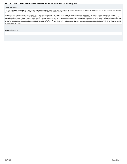#### <span id="page-22-0"></span>**OSEP Response**

The State reported that it used data from a State database to report on this indicator. The State further reported that it did not use data for the full reporting period (July 1, 2017-June 30, 2018). The State described ho period in which the data were collected accurately reflects data for infants and toddlers with IFSPs for the full reporting period.

Because the State reported less than 100% compliance for FFY 2017, the State must report on the status of correction of noncompliance identified in FFY 2017 for this indicator. When reporting on the correction of noncompliance, the State must report, in the FFY 2018 SPP/APR, that it has verified that each EIS program or provider with noncompliance identified in FFY 2017 for this indicator: (1) is correctly implementing the specific regulatory requirements (i.e., achieved 100% compliance) based on a review of updated data such as data subsequently collected through on-site monitoring or a State data system; and (2) has corrected each individual case of noncompliance, unless the child is no longer within the jurisdiction of the EIS program or provider, consistent with OSEP Memo 09-02. In the FFY 2018 SPP/APR, the State must describe the specific actions that were taken of noncompliance in FFY 2017.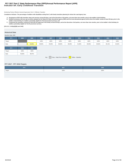# **Indicator 8A: Early Childhood Transition FFY 2017 Part C State Performance Plan (SPP)/Annual Performance Report (APR)**

#### Monitoring Priority: Effective General Supervision Part C / Effective Transition

**Compliance indicator: The percentage of toddlers with disabilities exiting Part C with timely transition planning for whom the Lead Agency has:**

- 
- A. Developed an IFSP with transition steps and services at least 90 days, and at the discretion of all parties, not more than nine months, prior to the toddler's third birthday;<br>B. Notified (consistent with any opt-out pol
- C. Conducted the transition conference held with the approval of the family at least 90 days, and at the discretion of all parties, not more than nine months, prior to the toddler's third birthday for **toddlers potentially eligible for Part B preschool services.**

**(20 U.S.C. 1416(a)(3)(B) and 1442)**

#### **Historical Data**

# Baseline Data: 2005

| 100%<br>100%<br>100%<br>100%<br>100%<br>100%<br>100%                                 |
|--------------------------------------------------------------------------------------|
|                                                                                      |
| Data<br>54.00%<br>96.00%<br>99.00%<br>55.00%<br>88.00%<br>96.00%<br>91.00%<br>90.00% |

Key: Gray – Data Prior to Baseline Yellow – Baseline

# **FFY 2017 - FFY 2018 Targets**

| <b>TELEVIS</b>      | 2017 | 2018 |
|---------------------|------|------|
| <sup>1</sup> Target | 100% | 100% |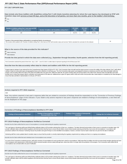#### **FFY 2017 SPP/APR Data**

**Data include only those toddlers with disabilities exiting Part C with timely transition planning for whom the Lead Agency has developed an IFSP with transition steps and services at least 90 days, and at the discretion of all parties, not more than nine months, prior to the toddler's third birthday.**

 Yes  $\bigcap_{\text{No}}$ 

| Number of children exiting Part C who have an IFSP | Number of toddlers with disabilities exiting Part C | <b>FFY 2016</b> | <b>FFY 2017</b> | <b>FFY 2017</b> |
|----------------------------------------------------|-----------------------------------------------------|-----------------|-----------------|-----------------|
| with transition steps and services                 |                                                     | Data            | <b>Target</b>   | Data            |
| 185                                                | 269                                                 | 90.97%          | 100%            | 99.26%          |

| A Number of documented delays attributable to exceptional family circumstances                                                                                                       |  |
|--------------------------------------------------------------------------------------------------------------------------------------------------------------------------------------|--|
| $\mid$ This number will be added to the "Number of children exiting Part C who have an IFSP with transition steps and services" field to calculate the numerator for this indicator. |  |

#### **What is the source of the data provided for this indicator?**

State monitoring

**State database** 

**Provide the time period in which the data were collected (e.g., September through December, fourth quarter, selection from the full reporting period).**

First Connections selected the period of time from July 1, 2017 – June 30, 2018 to collect data to represent reporting for the full fiscal year 2017.

#### **Describe how the data accurately reflect data for infants and toddlers with IFSPs for the full reporting period.**

Program data for Indicator 8 was retrieved from the Comprehensive Data System (CDS) for FFY 2017. First Connection Data Unit staff used the inquiry process to ensure the validity of the data collected. Part C staff collect indicator 8 data from all provider types and geographical areas and is reflective of a full fiscal year. The First Connections data system was designed to produce an electronic record for each infant and toddler within the program, that accurately reflects the status of the infant and toddlers file at any given time. Within the child's file, the system includes steps and services listed on the child's IFSP. Arkansas Data Unit staff allow eac provider time to review their program data for verification and resubmission to the data unit. Additional time is given for Agency staff to verify and confirm local provider data. Detail analysis is completed by the Data M ensure that data submitted is representative of a full year. (FFY2017)

#### **Actions required in FFY 2016 response**

none

Note: Any actions required in last year's response table that are related to correction of findings should be responded to on the "Correction of Previous Findings of Noncompliance" page of this indicator. If your State's only actions required in last year's response are related to findings of noncompliance, a text field will not be displayed on this page.

# **Correction of Findings of Noncompliance Identified in FFY 2016**

| Findings of Noncompliance Identified | <b>Findings of Noncompliance Verified as</b><br><b>Corrected Within One Year</b> | <b>Findings of Noncompliance Subsequently</b><br>Corrected | <b>Findings Not Yet Verified as Corrected</b> |
|--------------------------------------|----------------------------------------------------------------------------------|------------------------------------------------------------|-----------------------------------------------|
|                                      |                                                                                  |                                                            |                                               |

## **FFY 2016 Findings of Noncompliance Verified as Corrected**

Describe how the State verified that the source of noncompliance is correctly implementing the regulatory requirements

The Lead Agency's Monitoring staff issued official finding notification letters to EIS providers advising them of their non- compliance. The letter informed local providers of their scores in connection to transition steps provider notification letters cited the federal regulations and informed them that they have to ensure that all children receive timely transition planning and that they must correct all noncompliance. In accordance with procedures outlined in the Arkansas' monitoring manual, the providers were given 90 days to correct identified noncompliance, however, correction must be made no later than one year from the date of notification.

Monitoring staff then review updated data for transition steps to ensure that the provider is correctly implementing the regulatory requirements by making sure there is no ongoing noncompliance.

Describe how the State verified that each individual case of noncompliance was corrected

As a part of First Connections monitoring process, staff verify correction of noncompliance for each provider that is cited for noncompliance. Staff review files for toddlers who did not receive timely transition planning not in compliance with requirements to verify that the children received transition services (steps) although late, unless that child is no longer within the jurisdiction of the program. First Connections staff verified th noncompliance was corrected within one year of notification.

# **FFY 2015 Findings of Noncompliance Verified as Corrected**

Describe how the State verified that the source of noncompliance is correctly implementing the regulatory requirements

The Lead Agency's Monitoring staff issued official finding notification letters to EIS providers advising them of their non- compliance. The letter informed local providers of their scores in connection to transition steps provider notification letters cited the federal regulations and informed them that they have to ensure that all children receive timely transition planning and that they must correct all noncompliance. In accordance with 8/2/2019 Page 25 of 39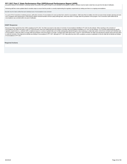# <span id="page-25-0"></span>FFY 2017 Part C State Performance Plan (SPP)/Annual Performance Report (APR)<br>procedures outlined in the Arkansas' monitoring manual, the providers were given 90 days to correct identified noncompliance, however, correction

Monitoring staff then review updated data for transition steps to ensure that the provider is correctly implementing the regulatory requirements by making sure there is no ongoing noncompliance.

Describe how the State verified that each individual case of noncompliance was corrected

As a part of First Connections monitoring process, staff verify correction of noncompliance for each provider that is cited for noncompliance. Staff review files for toddlers who did not receive timely transition planning not in compliance with requirements to verify that the children received transition services (steps) although late, unless that child is no longer within the jurisdiction of the program. First Connections staff verified th noncompliance was corrected within one year of notification.

#### **OSEP Response**

Because the State reported less than 100% compliance for FFY 2017, the State must report on the status of correction of noncompliance identified in FFY 2017 for this indicator. When reporting on the correction of noncompliance, the State must report, in the FFY 2018 SPP/APR, that it has verified that each EIS program or provider with noncompliance identified in FFY 2017 for this indicator: (1) is correctly implementing the specific regulatory requirements (i.e., achieved 100% compliance) based on a review of updated data such as data subsequently collected through on-site monitoring or a State data system; and (2) has corrected each individual case of noncompliance, unless the child is no longer within the jurisdiction of the EIS program or provider, consistent with OSEP Memo 09-02. In the FFY 2018 SPP/APR, the State must describe the specific actions that were taken to verify the correction. If the State did not identify any findings of noncompliance in FFY 2017, although its FFY 2017 data reflect less than 100% compliance, provide an explanation of why the State did not identify any of noncompliance in FFY 2017.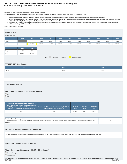# **Indicator 8B: Early Childhood Transition FFY 2017 Part C State Performance Plan (SPP)/Annual Performance Report (APR)**

#### Monitoring Priority: Effective General Supervision Part C / Effective Transition

**Compliance indicator: The percentage of toddlers with disabilities exiting Part C with timely transition planning for whom the Lead Agency has:**

- **A. Developed an IFSP with transition steps and services at least 90 days, and at the discretion of all parties, not more than nine months, prior to the toddler's third birthday;**
- **Notified (consistent with any opt-out policy adopted by the State) the State educational agency (SEA) and the local educational agency (LEA) where the toddler resides at least 90 days prior to the B. toddler's third birthday for toddlers potentially eligible for Part B preschool services; and**
- C. Conducted the transition conference held with the approval of the family at least 90 days, and at the discretion of all parties, not more than nine months, prior to the toddler's third birthday for **toddlers potentially eligible for Part B preschool services.**

**(20 U.S.C. 1416(a)(3)(B) and 1442)**

#### **Historical Data**

# Baseline Data: 2005

| <b>FFY</b> | 2004   | 2005   | 2006   | 2007   | 2008   | 2009   | 2010   | 2011   | 2012   | 2013   | 2014   |
|------------|--------|--------|--------|--------|--------|--------|--------|--------|--------|--------|--------|
| Target     |        |        | 100%   | 100%   | 100%   | 100%   | 100%   | 100%   | 100%   | 100%   | 100%   |
| Data       |        | 79.00% | 96.40% | 89.00% | 88.00% | 95.00% | 96.00% | 91.00% | 97.00% | 87.61% | 95.82% |
| <b>FFY</b> | 2015   | 2016   |        |        |        |        |        |        |        |        |        |
| Target     | 100%   | 100%   |        |        |        |        |        |        |        |        |        |
| Data       | 98.64% | 99.28% |        |        |        |        |        |        |        |        |        |

Key: Gray – Data Prior to Baseline Yellow – Baseline

## **FFY 2017 - FFY 2018 Targets**

| FFY                 | 2017 | 2018 |
|---------------------|------|------|
| <sup>1</sup> Target | 100% | 100% |
|                     |      |      |

#### **FFY 2017 SPP/APR Data**

## **Data include notification to both the SEA and LEA**

 Yes No

| Number of toddlers with disabilities exiting Part C<br>where notification to the SEA and LEA occurred at<br>least 90 days prior to their third birthday for toddlers<br>potentially eligible for Part B preschool services | Number of toddlers with disabilities exiting Part C who<br>were potentially eligible for Part B | <b>FFY 2016</b><br><b>Data</b> | <b>FFY 2017</b><br><b>Target</b> | <b>FFY 2017</b><br><b>Data</b> |
|----------------------------------------------------------------------------------------------------------------------------------------------------------------------------------------------------------------------------|-------------------------------------------------------------------------------------------------|--------------------------------|----------------------------------|--------------------------------|
| 269                                                                                                                                                                                                                        | 269                                                                                             | 99.28%                         | 100%                             | 100%                           |

#### **Number of parents who opted out**

|            | This number will be subtracted from the "Number of toddlers with disabilities exiting Part C who were potentially eligible for Part B" field to calculate the denominator for this |
|------------|------------------------------------------------------------------------------------------------------------------------------------------------------------------------------------|
| indicator. |                                                                                                                                                                                    |

0

## **Describe the method used to collect these data**

The state used the Comprehensive Data System to collect data for Indicator 8. Part C selected the time period from July 1, 2017 to June 30, 2018 to reflect reporting for the full fiscal year.

# **Do you have a written opt-out policy? No**

#### **What is the source of the data provided for this indicator?**

State monitoring State database

**Provide the time period in which the data were collected (e.g., September through December, fourth quarter, selection from the full reporting period).** 8/2/2019 Page 27 of 39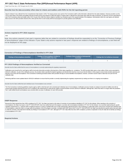<span id="page-27-0"></span>State Fiscal Year July 1, 2017 through June 30, 2018

#### **Describe how the data accurately reflect data for infants and toddlers with IFSPs for the full reporting period.**

Data for indicator 8 was collected from the Comprehensive Data System (CDS). The inquiry process was used by First Connections staff to verify information collected from the states database. Arkansas providers use the CDS to report data on the infants and toddlers that they provide services and supports to within their agency. Program data is collected from all provider types within the state of Arkansas. An electronic record is generat direct access to the AEIS providers electronic file, which permits them to work closely with the local programs to provide guidance and clarification.

#### **Actions required in FFY 2016 response**

none

Note: Any actions required in last year's response table that are related to correction of findings should be responded to on the "Correction of Previous Findings of Noncompliance" page of this indicator. If your State's only actions required in last year's response are related to findings of noncompliance, a text field will not be displayed on this page.

#### **Correction of Findings of Noncompliance Identified in FFY 2016**

| Findings of Noncompliance Identified | <b>Findings of Noncompliance Verified as</b><br><b>Corrected Within One Year</b> | Findings of Noncompliance Subsequently<br>Corrected | Findings Not Yet Verified as Corrected |
|--------------------------------------|----------------------------------------------------------------------------------|-----------------------------------------------------|----------------------------------------|
|                                      |                                                                                  |                                                     |                                        |

#### **FFY 2016 Findings of Noncompliance Verified as Corrected**

Describe how the State verified that the source of noncompliance is correctly implementing the regulatory requirements

Notifications were issued by the Lead Agency staff to local early intervention providers informing them of their status regarding non- compliance. The AEIS provider letters gives a clear outline of their scores associated SEA/LEA notification. As part of the notification process, the providers letters specified the federal regulations and directed them that they must ensure that all children in their program receive timely transition planni that they must correct all noncompliance. First Connections monitoring procedures allows AEIS providers 90 days to correct identified noncompliance, however, correction must be made no later than one year from the notification date.

Monitoring staff then review updated data for SEA/LEA notification to ensure that the provider is correctly implementing the regulatory requirements by making sure there is no ongoing noncompliance.

Describe how the State verified that each individual case of noncompliance was corrected

The First Connections monitoring guidelines requires agency staff to verify that each LEA corrected each individual case of noncompliance. Verifications process includes an analysis of records for toddlers who did not receive timely transition planning and were not in compliance with requirements to verify that the children received transition services (SEA/LEA notification) although late, unless that child is no longer within the juris Part C staff certified that all noncompliance was corrected within one year of notification, for each AEIS provider.

#### **OSEP Response**

Because the State reported less than 100% compliance for FFY 2017, the State must report on the status of correction of noncompliance identified in FFY 2017 for this indicator. When reporting on the correction of noncompliance, the State must report, in the FFY 2018 SPP/APR, that it has verified that each EIS program or provider with noncompliance identified in FFY 2017 for this indicator: (1) is correctly implementing the specific regulatory requirements (i.e., achieved 100% compliance) based on a review of updated data such as data subsequently collected through on-site monitoring or a State data system; and (2) has corrected each individual case of noncompliance, unless the child is no longer within the jurisdiction of the EIS program or provider, consistent with OSEP Memo 09-02. In the FFY 2018 SPP/APR, the State must describe the specific actions that were taken to verify the correction. If the State did not identify any findings of noncompliance in FFY 2017, although its FFY 2017 data reflect less than 100% compliance, provide an explanation of why the State did not identify any of noncompliance in FFY 2017.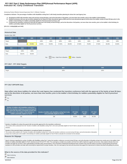# **Indicator 8C: Early Childhood Transition FFY 2017 Part C State Performance Plan (SPP)/Annual Performance Report (APR)**

#### Monitoring Priority: Effective General Supervision Part C / Effective Transition

**Compliance indicator: The percentage of toddlers with disabilities exiting Part C with timely transition planning for whom the Lead Agency has:**

- **A. Developed an IFSP with transition steps and services at least 90 days, and at the discretion of all parties, not more than nine months, prior to the toddler's third birthday;**
- **Notified (consistent with any opt-out policy adopted by the State) the State educational agency (SEA) and the local educational agency (LEA) where the toddler resides at least 90 days prior to the B. toddler's third birthday for toddlers potentially eligible for Part B preschool services; and**
- C. Conducted the transition conference held with the approval of the family at least 90 days, and at the discretion of all parties, not more than nine months, prior to the toddler's third birthday for **toddlers potentially eligible for Part B preschool services.**

**(20 U.S.C. 1416(a)(3)(B) and 1442)**

#### **Historical Data**

# Baseline Data: 2005

| <b>FFY</b> | 2004 | 2005   | 2006   | 2007   | 2008   | 2009   | 2010   | 2011   | 2012   | 2013   | 2014   |
|------------|------|--------|--------|--------|--------|--------|--------|--------|--------|--------|--------|
| Target     |      |        | 100%   | 100%   | 100%   | 100%   | 100%   | 100%   | 100%   | 100%   | 100%   |
| Data       |      | 87.00% | 44.00% | 55.00% | 57.00% | 86.00% | 87.00% | 76.00% | 87.00% | 86.28% | 83.59% |
| <b>FFY</b> | 2015 | 2016   |        |        |        |        |        |        |        |        |        |
|            |      |        |        |        |        |        |        |        |        |        |        |
|            |      |        |        |        |        |        |        |        |        |        |        |
| Target     | 100% | 100%   |        |        |        |        |        |        |        |        |        |

Key: Gray – Data Prior to Baseline Yellow – Baseline

## **FFY 2017 - FFY 2018 Targets**

| --<br><b>FFY</b> | 2017 | 2018 |
|------------------|------|------|
| Target           | 100% | 100% |
|                  |      |      |

#### **FFY 2017 SPP/APR Data**

**Data reflect only those toddlers for whom the Lead Agency has conducted the transition conference held with the approval of the family at least 90 days, and at the discretion of all parties, not more than nine months, prior to the toddler's third birthday for toddlers potentially eligible for Part B preschool services**

# Yes  $C_{\text{No}}$

| Number of toddlers with disabilities exiting Part C<br>where the transition conference occurred at least 90<br>days, and at the discretion of all parties at least nine<br>months prior to the toddler's third birthday for<br>toddlers potentially eligible for Part B | Number of toddlers with disabilities exiting Part C who<br>were potentially eligible for Part B | <b>FFY 2016</b><br><b>Data</b> | <b>FFY 2017</b><br><b>Target</b> | <b>FFY 2017</b><br><b>Data</b> |
|-------------------------------------------------------------------------------------------------------------------------------------------------------------------------------------------------------------------------------------------------------------------------|-------------------------------------------------------------------------------------------------|--------------------------------|----------------------------------|--------------------------------|
| 161                                                                                                                                                                                                                                                                     | 269                                                                                             | 93.63%                         | 100%                             | 90.33%                         |

| Number of toddlers for whom the parent did not provide approval for the transition conference<br>This number will be subtracted from the "Number of toddlers with disabilities exiting Part C who were potentially eligible for Part B" field to calculate the denominator for this<br>indicator.                                                                                                                                      |    |
|----------------------------------------------------------------------------------------------------------------------------------------------------------------------------------------------------------------------------------------------------------------------------------------------------------------------------------------------------------------------------------------------------------------------------------------|----|
| Number of documented delays attributable to exceptional family circumstances<br>This number will be added to the "Number of toddlers with disabilities exiting Part C where the transition conference occurred at least 90 days, and at the discretion of all parties<br>at least nine months prior to the toddler's third birthday for toddlers potentially eligible for Part B" field to calculate the numerator for this indicator. | 82 |

#### **Reasons for Slippage**

Data for Arkansas regarding the number of toddlers with disabilities exiting Part C where the transition conference occurred at least 90 days, and at the discretion of all parties at least nine months prior to the toddler' birthday for toddlers potentially eligible for Part B, declined around 3% from FFY 2016. The Lead Agency enrolled new providers and hired new staff to implement supports and services. Data analysis indicates that some providers and staff may not have a clear understanding of transition policy and procedures. First Connections Professional Development team members have and will continue to provide on-going training and technical assistance to AEIS providers and state staff concerning the requirements for proper transition. Also, the Lead Agency has tools and documents that support the improvement of actions that assist with quiding the process.

#### **What is the source of the data provided for this indicator?**

State monitoring

State database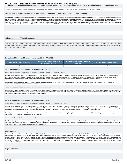<span id="page-29-0"></span>FFY 2017 Part C State Performance Plan (SPP)/Annual Performance Report (APR)<br>Provide the time period in which the data were collected (e.g., September through December, fourth quarter, selection from the full reporting per

Arkansas First Connections collected data from the period of June 30, 2017- July 1, 2018. The data collected during this time period represents reporting for the full fiscal year. (2017)

#### **Describe how the data accurately reflect data for infants and toddlers with IFSPs for the full reporting period.**

Indicator 8 data was retrieved from the Comprehensive Data System. Arkansas Data staff used the inquiry process to verify the information collected in the states data base. Annual Performance Report data was gathered from each agency provider type. Arkansas Early Intervention providers and State Service Coordinators enter individual child data on the infants and toddlers that they serve directly in the data system. The Lead Agency developed Comprehensive Data System to gather and display data that reflects the status of the infant and toddler's early intervention record. As part of the individual child file, the system includes, the date of the child's transi conference as required in Part C policy. Program data was taken from IFSP's with dates starting July 1, 2017- June 30, 2018, and forwarded to AEIS providers and state staff for review and submission back to the Lead Agency data unit. First Connections Data Manager verified that the data reported for this time period (FFY2017) is reflective of all the infants and toddlers for the full reporting period.

#### **Actions required in FFY 2016 response**

none

Note: Any actions required in last year's response table that are related to correction of findings should be responded to on the "Correction of Previous Findings of Noncompliance" page of this indicator. If your State's only actions required in last year's response are related to findings of noncompliance, a text field will not be displayed on this page.

#### **Correction of Findings of Noncompliance Identified in FFY 2016**

| Findings of Noncompliance Verified as<br><b>Findings of Noncompliance Identified</b><br><b>Corrected Within One Year</b> |  | <b>Findings of Noncompliance Subsequently</b><br>Corrected | <b>Findings Not Yet Verified as Corrected</b> |  |  |
|--------------------------------------------------------------------------------------------------------------------------|--|------------------------------------------------------------|-----------------------------------------------|--|--|
|                                                                                                                          |  |                                                            |                                               |  |  |

#### **FFY 2016 Findings of Noncompliance Verified as Corrected**

Describe how the State verified that the source of noncompliance is correctly implementing the regulatory requirements

Arkansas monitoring manual requires Lead Agency staff to send notification letters to early intervention service providers informing them of their non- compliance. Notification letters advised them of their status regardin timely transition conferences. The letters cited the federal requlations and informed them that they have to ensure that all children receive timely transition planning and that they must correct all noncompliance. Lead Ag requirements allows the providers 90 days to correct identified noncompliance, however, correction must be made no later than one year from the date of notification to the AEIS provider.

Monitoring staff then review updated data for transition conferences to ensure that the provider is correctly implementing the regulatory requirements for subsequent children by making sure there is no ongoing noncompliance and that transition conference are held within timelines.

Describe how the State verified that each individual case of noncompliance was corrected

First Connections Quality Assurance verification process requires that program staff conduct a course of action that involves an examination of files for toddlers who did not have timely transition conferences. Staff verif each child for whom a conference was not provided received transition conferences, although the conference was late, unless that child is no longer within the jurisdiction of the program. Lead Agency staff confirmed that a noncompliance was corrected within one year of notification to the AEIS provider.

#### **FFY 2015 Findings of Noncompliance Verified as Corrected**

Describe how the State verified that the source of noncompliance is correctly implementing the regulatory requirements

Arkansas monitoring manual requires Lead Agency staff to send notification letters to early intervention service providers informing them of their non- compliance. Notification letters advised them of their status regarding timely transition conferences. The letters cited the federal regulations and informed them that they have to ensure that all children receive timely transition planning and that they must correct all noncompliance. Lead Ag requirements allows the providers 90 days to correct identified noncompliance, however, correction must be made no later than one year from the date of notification to the AEIS provider.

Monitoring staff then review updated data for transition conferences to ensure that the provider is correctly implementing the regulatory requirements for subsequent children by making sure there is no ongoing noncompliance and that transition conference are held within timelines.

Describe how the State verified that each individual case of noncompliance was corrected

First Connections Quality Assurance verification process requires that program staff conduct a course of action that involves an examination of files for toddlers who did not have timely transition conferences. Staff verif each child for whom a conference was not provided received transition conferences, although the conference was late, unless that child is no longer within the jurisdiction of the program. Lead Agency staff confirmed that a noncompliance was corrected within one year of notification to the AEIS provider.

# **OSEP Response**

Because the State reported less than 100% compliance for FFY 2017, the State must report on the status of correction of noncompliance identified in FFY 2017 for this indicator. When reporting on the correction of noncompliance, the State must report, in the FFY 2018 SPP/APR, that it has verified that each EIS program or provider with noncompliance identified in FFY 2017 for this indicator: (1) is correctly implementing the specific regulatory requirements (i.e., achieved 100% compliance) based on a review of updated data such as data subsequently collected through on-site monitoring or a State data system; and (2) has corrected each individual case of noncompliance, unless the child is no longer within the jurisdiction of the EIS program or provider, consistent with OSEP Memo 09-02. In the FFY 2018 SPP/APR, the State must describe the specific actions that were taken to verify the correction. If the State did not identify any findings of noncompliance in FFY 2017, although its FFY 2017 data reflect less than 100% compliance, provide an explanation of why the State did not identify any of noncompliance in FFY 2017.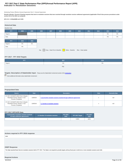# **Indicator 9: Resolution Sessions FFY 2017 Part C State Performance Plan (SPP)/Annual Performance Report (APR)**

Monitoring Priority: Effective General Supervision Part C / General Supervision

**Results indicator: Percent of hearing requests that went to resolution sessions that were resolved through resolution session settlement agreements (applicable if Part B due process procedures under section 615 of the IDEA are adopted).**

# **(20 U.S.C. 1416(a)(3)(B) and 1442)**

# **Historical Data**

| Baseline Data:                                                          |       |       |      |      |      |      |      |      |      |       |       |
|-------------------------------------------------------------------------|-------|-------|------|------|------|------|------|------|------|-------|-------|
| <b>FFY</b>                                                              | 2004  | 2005  | 2006 | 2007 | 2008 | 2009 | 2010 | 2011 | 2012 | 2013  | 2014  |
| Target $\geq$                                                           |       |       |      |      |      |      |      |      |      | $0\%$ | $0\%$ |
| Data                                                                    |       |       |      |      |      |      |      |      |      | $0\%$ | $0\%$ |
| <b>FFY</b>                                                              | 2015  | 2016  |      |      |      |      |      |      |      |       |       |
| Target $\geq$                                                           | $0\%$ | $0\%$ |      |      |      |      |      |      |      |       |       |
| Data                                                                    | $0\%$ |       |      |      |      |      |      |      |      |       |       |
| Key: Gray - Data Prior to Baseline Yellow - Baseline Blue - Data Update |       |       |      |      |      |      |      |      |      |       |       |

# **FFY 2017 - FFY 2018 Targets**

| <b>FFY</b>    | 2017  | 2018  |
|---------------|-------|-------|
| Target $\geq$ | $0\%$ | $0\%$ |
|               | Key:  |       |

# **Targets: Description of Stakeholder Input** - Please see the Stakeholder Involvement section of the *introduction*.

Enter additional information about stakeholder involvement

#### **Prepopulated Data**

| <b>Source</b>                                                                                            | <b>Date</b> | <b>Description</b>                                                       | <b>Data</b> | <b>Overwrite Data</b> |
|----------------------------------------------------------------------------------------------------------|-------------|--------------------------------------------------------------------------|-------------|-----------------------|
| SY 2017-18 EMAPS IDEA Part C Dispute<br>Resolution Survey; Section C: Due<br><b>Process Complaints</b>   | 11/8/2018   | 3.1(a) Number resolution sessions resolved through settlement agreements | r           | null                  |
| SY 2017-18 EMAPS IDEA Part C Dispute  <br>Resolution Survey; Section C: Due<br><b>Process Complaints</b> | 11/8/2018   | 3.1 Number of resolution sessions                                        | n           | null                  |

# **FFY 2017 SPP/APR Data**

| 3.1(a) Number resolution sessions resolved<br>through settlement agreements | 3.1 Number of resolution sessions | <b>FFY 2016</b><br>Data | FFY 2017 Target | <b>FFY 2017</b><br>Data |
|-----------------------------------------------------------------------------|-----------------------------------|-------------------------|-----------------|-------------------------|
|                                                                             |                                   |                         | $0.00\%$        | 100%                    |

# **Actions required in FFY 2016 response**

none

#### **OSEP Response**

The State reported fewer than ten resolution sessions held in FFY 2017. The State is not required to provide targets until any fiscal year in which ten or more resolution sessions were held.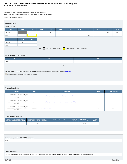# **Indicator 10: Mediation FFY 2017 Part C State Performance Plan (SPP)/Annual Performance Report (APR)**

Monitoring Priority: Effective General Supervision Part C / General Supervision

**Results indicator: Percent of mediations held that resulted in mediation agreements.**

#### **(20 U.S.C. 1416(a)(3)(B) and 1442)**

| <b>Historical Data</b>                                                     |       |      |      |       |      |      |      |       |      |      |       |
|----------------------------------------------------------------------------|-------|------|------|-------|------|------|------|-------|------|------|-------|
|                                                                            |       |      |      |       |      |      |      |       |      |      |       |
| Baseline Data: 2005                                                        |       |      |      |       |      |      |      |       |      |      |       |
| <b>FFY</b>                                                                 | 2004  | 2005 | 2006 | 2007  | 2008 | 2009 | 2010 | 2011  | 2012 | 2013 | 2014  |
| Target $\geq$                                                              |       |      |      | $0\%$ |      |      |      |       |      | 0%   | $0\%$ |
| Data                                                                       |       |      |      |       |      |      |      | $0\%$ |      |      |       |
| <b>FFY</b>                                                                 | 2015  | 2016 |      |       |      |      |      |       |      |      |       |
|                                                                            |       |      |      |       |      |      |      |       |      |      |       |
| Target $\geq$                                                              | $0\%$ |      |      |       |      |      |      |       |      |      |       |
| Data                                                                       |       |      |      |       |      |      |      |       |      |      |       |
| Gray - Data Prior to Baseline Yellow - Baseline Blue - Data Update<br>Key: |       |      |      |       |      |      |      |       |      |      |       |

# **FFY 2017 - FFY 2018 Targets**

| <b>FFY</b>          | 2017 |  |  | 2018 |        |  |
|---------------------|------|--|--|------|--------|--|
| <sup>1</sup> Target |      |  |  |      | $\sim$ |  |
|                     |      |  |  |      |        |  |

|--|

# **Targets: Description of Stakeholder Input** - Please see the Stakeholder Involvement section of the *introduction*.

**Enter additional information about stakeholder involvement** 

# **Prepopulated Data**

| <b>Source</b>                                                                               | <b>Date</b> | <b>Description</b>                                                  | <b>Data</b> | <b>Overwrite Data</b> |
|---------------------------------------------------------------------------------------------|-------------|---------------------------------------------------------------------|-------------|-----------------------|
| SY 2017-18 EMAPS IDEA Part C Dispute<br>Resolution Survey; Section B: Mediation<br>Requests | 11/8/2018   | 2.1.a. iMediations agreements related to due process complaints     | n           | null                  |
| SY 2017-18 EMAPS IDEA Part C Dispute<br>Resolution Survey; Section B: Mediation<br>Requests | 11/8/2018   | 2.1.b. iMediations agreements not related to due process complaints | n           | null                  |
| SY 2017-18 EMAPS IDEA Part C Dispute<br>Resolution Survey; Section B: Mediation<br>Requests | 11/8/2018   | 2.1 Mediations held                                                 | n           | null                  |

# **FFY 2017 SPP/APR Data**

| 2.1.a.i Mediations agreements<br>related to due process complaints | 2.1.b.i Mediations agreements not<br>related to due process complaints | 2.1 Mediations held | <b>FFY 2016</b><br>Data | FFY 2017 Target | <b>FFY 2017</b><br><b>Data</b> |
|--------------------------------------------------------------------|------------------------------------------------------------------------|---------------------|-------------------------|-----------------|--------------------------------|
|                                                                    |                                                                        |                     |                         | $% - %$         |                                |

# **Actions required in FFY 2016 response**

none

# **OSEP Response**

The State reported fewer than ten mediations held in FFY 2017. The State is not required to meet its targets until any fiscal year in which ten or more mediations were held.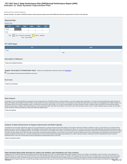# **Indicator 11: State Systemic Improvement Plan FFY 2017 Part C State Performance Plan (SPP)/Annual Performance Report (APR)**

#### Monitoring Priority: General Supervision

**Results indicator: The State's SPP/APR includes a State Systemic Improvement Plan (SSIP) that meets the requirements set forth for this indicator.**



#### **FFY 2018 Target**

| <b>FFY</b>                                                                                                                                                                    | 2018 |  |  |  |  |  |
|-------------------------------------------------------------------------------------------------------------------------------------------------------------------------------|------|--|--|--|--|--|
| Target                                                                                                                                                                        |      |  |  |  |  |  |
| Key:                                                                                                                                                                          |      |  |  |  |  |  |
|                                                                                                                                                                               |      |  |  |  |  |  |
| <b>Description of Measure</b>                                                                                                                                                 |      |  |  |  |  |  |
| Please see the attachment below.                                                                                                                                              |      |  |  |  |  |  |
| Targets: Description of Stakeholder Input - Please see the Stakeholder Involvement section of the introduction.<br>Enter additional information about stakeholder involvement |      |  |  |  |  |  |
| Overview                                                                                                                                                                      |      |  |  |  |  |  |
| Please see the attached.                                                                                                                                                      |      |  |  |  |  |  |
|                                                                                                                                                                               |      |  |  |  |  |  |
|                                                                                                                                                                               |      |  |  |  |  |  |

#### **Data Analysis**

A description of how the State identified and analyzed key data, including data from SPP/APR indicators, 618 data collections, and other available data as applicable, to: (1) select the State-identified Measurable Result(s Infants and Toddlers with Disabilities and their Families, and (2) identify root causes contributing to low performance. The description must include information about how the data were disaggregated by multiple variables EIS program and/or EIS provider, geographic region, race/ethnicity, socioeconomic status, gender, etc.) As part of its data analysis, the State should also consider compliance data and whether those data present potential barriers to improvement. In addition, if the State identifies any concerns about the quality of the data, the description must include how the State will address these concerns. Finally, if additional data are needed, the should include the methods and timelines to collect and analyze the additional data.

Please see attached.

#### **Analysis of State Infrastructure to Support Improvement and Build Capacity**

A description of how the State analyzed the capacity of its current infrastructure to support improvement and build capacity in EIS programs and/or EIS providers to implement, scale up, and sustain the use of evidence-based practices to improve results for infants and toddlers with disabilities and their families. State systems that make up its infrastructure include, at a minimum: governance, fiscal, quality standards, professional developme The State must also identify current State-level improvement plans and other early learning initiatives, such as Race to the Top-Early Learning Challenge and the Home Visiting program and describe the extent that these new initiatives are aligned, and how they are, or could be, integrated with, the SSIP. Finally, the State should identify representatives (e.g., offices, agencies, positions, individuals, and other stakeholders) that were invo developing Phase I of the SSIP and that will be involved in developing and implementing Phase II of the SSIP.

Please see attachment below.

## **State-identified Measurable Result(s) for Infants and Toddlers with Disabilities and Their Families**

A statement of the result(s) the State intends to achieve through the implementation of the SSIP. The State-identified Measurable Result(s) for Infants and Toddlers with Disabilities and their Families must be aligned to an SPP/APR indicator or a component of an SPP/APR indicator. The State-identified Measurable Result(s) for Infants and Toddlers with Disabilities and their Families must be clearly based on the Data and State Infrastructure Analyses and must be a child- or family-level outcome in contrast to a process outcome. The State may select a single result (e.g., increase the rate of growth in infants and toddlers demonstrating positive social-emotiona skills) or a cluster of related results (e.g., increase the percentage reported under child outcome B under Indicator 3 of the SPP/APR (knowledge and skills) and increase the percentage trend reported for families under<br>8/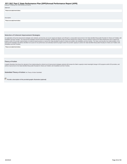| Indicator 4 (helping their child develop and learn)). | $\sim$ $\sim$ | $\cdots$ |  |
|-------------------------------------------------------|---------------|----------|--|
| Statement                                             |               |          |  |
| Please see attachment below.                          |               |          |  |
|                                                       |               |          |  |
|                                                       |               |          |  |
| Description                                           |               |          |  |
| Please see attachment below.                          |               |          |  |
|                                                       |               |          |  |
|                                                       |               |          |  |
|                                                       |               |          |  |

#### **Selection of Coherent Improvement Strategies**

An explanation of how the improvement strategies were selected, and why they are sound, logical and aligned, and will lead to a measurable improvement in the State-identified Measurable Result(s) for Infants and Toddlers w program and/or EIS provider implementation of evidence-based practices to improve the State-identified result(s) for infants and toddlers with disabilities and their families. The State must describe how implementation of improvement strategies will address identified root causes for low performance and ultimately build EIS program and/or EIS provider capacity to achieve the State-identified Measurable Result(s) for Infants and Toddlers with Disabilities and their Families.

Please see attachment below.

#### **Theory of Action**

A graphic illustration that shows the rationale of how implementing the coherent set of improvement strategies selected will increase the State's capacity to lead meaningful change in EIS programs and/or EIS providers, and

**Submitted Theory of Action: No Theory of Action Submitted** 

**Provide a description of the provided graphic illustration (optional)**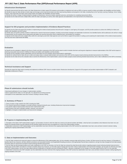#### **Infrastructure Development**

(a) Specify improvements that will be made to the State infrastructure to better support EIS programs and providers to implement and scale up EBPs to improve results for infants and toddlers with disabilities and their fam (b) Identify the steps the State will take to further align and leverage current improvement plans and other early learning initiatives and programs in the State, including Race to the Top-Early Learning Challenge, Home Vi Program, Early Head Start and others which impact infants and toddlers with disabilities and their families.

(c) Identify who will be in charge of implementing the changes to infrastructure, resources needed, expected outcomes, and timelines for completing improvement efforts.

(d) Specify how the State will involve multiple offices within the State Lead Agency, as well as other State agencies and stakeholders in the improvement of its infrastructure.

#### **Support for EIS programs and providers Implementation of Evidence-Based Practices**

(a) Specify how the State will support EIS providers in implementing the evidence-based practices that will result in changes in Lead Agency, EIS program, and EIS provider practices to achieve the SIMR(s) for infants and toddlers with disabilities and their families.

(b) Identify steps and specific activities needed to implement the coherent improvement strategies, including communication strategies and stakeholder involvement; how identified barriers will be addressed; who will be in of implementing; how the activities will be implemented with fidelity; the resources that will be used to implement them; and timelines for completion.

(c) Specify how the State will involve multiple offices within the Lead Agency (and other State agencies such as the SEA) to support EIS providers in scaling up and sustaining the implementation of the evidence-based pract once they have been implemented with fidelity.

#### **Evaluation**

(a) Specify how the evaluation is aligned to the theory of action and other components of the SSIP and the extent to which it includes short-term and long-term objectives to measure implementation of the SSIP and its impac achieving measurable improvement in SIMR(s) for infants and toddlers with disabilities and their families.

(b) Specify how the evaluation includes stakeholders and how information from the evaluation will be disseminated to stakeholders.

(c) Specify the methods that the State will use to collect and analyze data to evaluate implementation and outcomes of the SSIP and the progress toward achieving intended improvements in the SIMR(s).

(d) Specify how the State will use the evaluation data to examine the effectiveness of the implementation; assess the State's progress toward achieving intended improvements; and to make modifications to the SSIP as necess

#### **Technical Assistance and Support**

Describe the support the State needs to develop and implement an effective SSIP. Areas to consider include: Infrastructure development; Support for EIS programs and providers implementation of EBP; Evaluation; and Stakeholder involvement in Phase II.

#### **Phase III submissions should include:**

• Data-based justifications for any changes in implementation activities.

- Data to support that the State is on the right path, if no adjustments are being proposed.
- Descriptions of how stakeholders have been involved, including in decision-making.

#### **A. Summary of Phase 3**

- 1. Theory of action or logic model for the SSIP, including the SiMR.
- 2. The coherent improvement strategies or principle activities employed during the year, including infrastructure improvement strategies.
- 3. The specific evidence-based practices that have been implemented to date.
- 4. Brief overview of the year's evaluation activities, measures, and outcomes.
- 5. Highlights of changes to implementation and improvement strategies.

#### **B. Progress in Implementing the SSIP**

1. Description of the State's SSIP implementation progress: (a) Description of extent to which the State has carried out its planned activities with fidelity—what has been accomplished, what milestones have been met, and whether the intended timeline has been followed and (b) Intended outputs that have been accomplished as a result of the implementation activities. 2. Stakeholder involvement in SSIP implementation: (a) How stakeholders have been informed of the ongoing implementation of the SSIP and (b) How stakeholders have had a voice and been involved in decision-making

regarding the ongoing implementation of the SSIP.

#### **C. Data on Implementation and Outcomes**

1. How the State monitored and measured outputs to assess the effectiveness of the implementation plan: (a) How evaluation measures align with the theory of action, (b) Data sources for each key measure, (c) Description of baseline data for key measures, (d) Data collection procedures and associated timelines, (e) [If applicable] Sampling procedures, (f) [If appropriate] Planned data comparisons, and (g) How data management and data analysis procedures allow for assessment of progress toward achieving intended improvements

2. How the State has demonstrated progress and made modifications to the SSIP as necessary: (a) How the State has reviewed key data that provide evidence regarding progress toward achieving intended improvements to infrastructure and the SiMR, (b) Evidence of change to baseline data for key measures, (c) How data support changes that have been made to implementation and improvement strategies, (d) How data are informing next steps<br>in 3. Stakeholder involvement in the SSIP evaluation: (a) How stakeholders have been informed of the ongoing evaluation of the SSIP and (b) How stakeholders have had a voice and been involved in decision-making regarding the ongoing evaluation of the SSIP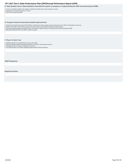<span id="page-37-0"></span>**D. Data Quality Issues: Data limitations that affected reports of progress in implementing the SSIP and achieving the SIMR**

1. Concern or limitations related to the quality or quantity of the data used to report progress or results

2. Implications for assessing progress or results 3. Plans for improving data quality

#### **E. Progress Toward Achieving Intended Improvements**

1. Infrastructure changes that support SSIP initiatives, including how system changes support achievement of the SiMR, sustainability, and scale-up

- 2. Evidence that SSIP's evidence-based practices are being carried out with fidelity and having the desired effects
- 3. Outcomes regarding progress toward short-term and long-term objectives that are necessary steps toward achieving the SIMR

4. Measurable improvements in the SIMR in relation to targets

#### **F. Plans for Next Year**

1. Additional activities to be implemented next year, with timeline 2. Planned evaluation activities including data collection, measures, and expected outcomes

3. Anticipated barriers and steps to address those barriers

4. The State describes any needs for additional support and/or technical assistance

**OSEP Response**